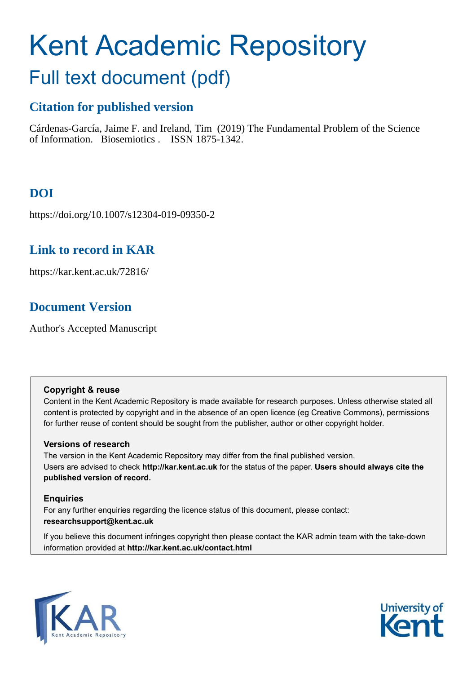# Kent Academic Repository

## Full text document (pdf)

## **Citation for published version**

Cárdenas-García, Jaime F. and Ireland, Tim (2019) The Fundamental Problem of the Science of Information. Biosemiotics . ISSN 1875-1342.

## **DOI**

https://doi.org/10.1007/s12304-019-09350-2

### **Link to record in KAR**

https://kar.kent.ac.uk/72816/

## **Document Version**

Author's Accepted Manuscript

#### **Copyright & reuse**

Content in the Kent Academic Repository is made available for research purposes. Unless otherwise stated all content is protected by copyright and in the absence of an open licence (eg Creative Commons), permissions for further reuse of content should be sought from the publisher, author or other copyright holder.

#### **Versions of research**

The version in the Kent Academic Repository may differ from the final published version. Users are advised to check **http://kar.kent.ac.uk** for the status of the paper. **Users should always cite the published version of record.**

#### **Enquiries**

For any further enquiries regarding the licence status of this document, please contact: **researchsupport@kent.ac.uk**

If you believe this document infringes copyright then please contact the KAR admin team with the take-down information provided at **http://kar.kent.ac.uk/contact.html**



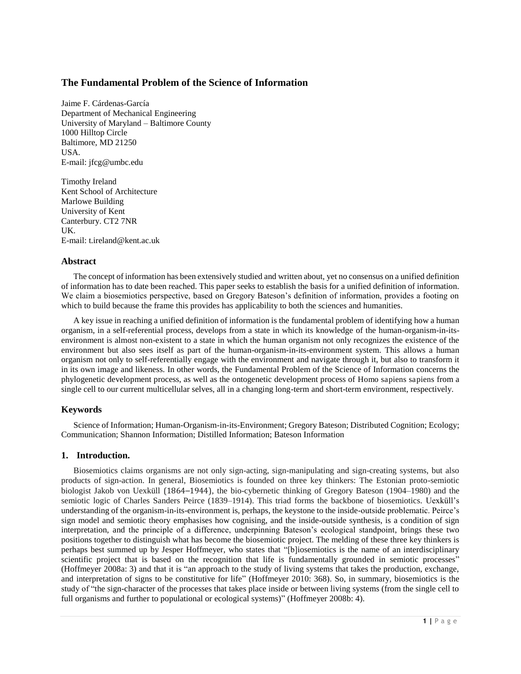#### **The Fundamental Problem of the Science of Information**

Jaime F. Cárdenas-García Department of Mechanical Engineering University of Maryland – Baltimore County 1000 Hilltop Circle Baltimore, MD 21250 USA. E-mail: jfcg@umbc.edu

Timothy Ireland Kent School of Architecture Marlowe Building University of Kent Canterbury. CT2 7NR UK. E-mail: t.ireland@kent.ac.uk

#### **Abstract**

The concept of information has been extensively studied and written about, yet no consensus on a unified definition of information has to date been reached. This paper seeks to establish the basis for a unified definition of information. We claim a biosemiotics perspective, based on Gregory Bateson's definition of information, provides a footing on which to build because the frame this provides has applicability to both the sciences and humanities.

A key issue in reaching a unified definition of information is the fundamental problem of identifying how a human organism, in a self-referential process, develops from a state in which its knowledge of the human-organism-in-itsenvironment is almost non-existent to a state in which the human organism not only recognizes the existence of the environment but also sees itself as part of the human-organism-in-its-environment system. This allows a human organism not only to self-referentially engage with the environment and navigate through it, but also to transform it in its own image and likeness. In other words, the Fundamental Problem of the Science of Information concerns the phylogenetic development process, as well as the ontogenetic development process of Homo sapiens sapiens from a single cell to our current multicellular selves, all in a changing long-term and short-term environment, respectively.

#### **Keywords**

Science of Information; Human-Organism-in-its-Environment; Gregory Bateson; Distributed Cognition; Ecology; Communication; Shannon Information; Distilled Information; Bateson Information

#### **1. Introduction.**

Biosemiotics claims organisms are not only sign-acting, sign-manipulating and sign-creating systems, but also products of sign-action. In general, Biosemiotics is founded on three key thinkers: The Estonian proto-semiotic biologist Jakob von Uexküll (1864–1944), the bio-cybernetic thinking of Gregory Bateson (1904–1980) and the semiotic logic of Charles Sanders Peirce (1839–1914). This triad forms the backbone of biosemiotics. Uexküll's understanding of the organism-in-its-environment is, perhaps, the keystone to the inside-outside problematic. Peirce's sign model and semiotic theory emphasises how cognising, and the inside-outside synthesis, is a condition of sign interpretation, and the principle of a difference, underpinning Bateson's ecological standpoint, brings these two positions together to distinguish what has become the biosemiotic project. The melding of these three key thinkers is perhaps best summed up by Jesper Hoffmeyer, who states that "[b]iosemiotics is the name of an interdisciplinary scientific project that is based on the recognition that life is fundamentally grounded in semiotic processes" (Hoffmeyer 2008a: 3) and that it is "an approach to the study of living systems that takes the production, exchange, and interpretation of signs to be constitutive for life" (Hoffmeyer 2010: 368). So, in summary, biosemiotics is the study of "the sign-character of the processes that takes place inside or between living systems (from the single cell to full organisms and further to populational or ecological systems)" (Hoffmeyer 2008b: 4).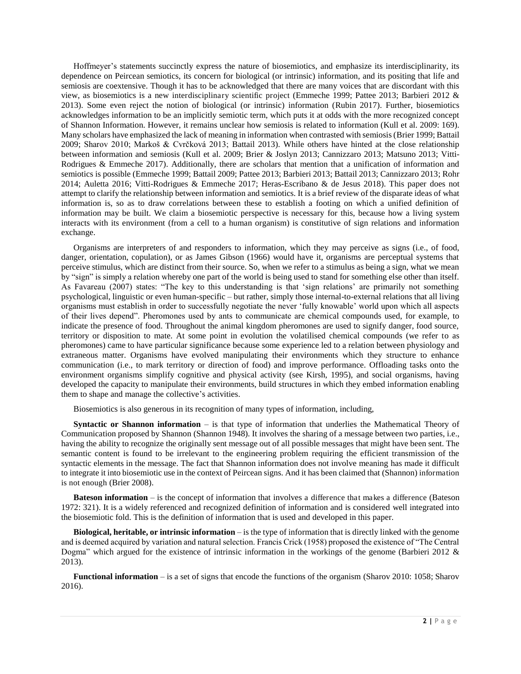Hoffmeyer's statements succinctly express the nature of biosemiotics, and emphasize its interdisciplinarity, its dependence on Peircean semiotics, its concern for biological (or intrinsic) information, and its positing that life and semiosis are coextensive. Though it has to be acknowledged that there are many voices that are discordant with this view, as biosemiotics is a new interdisciplinary scientific project (Emmeche 1999; Pattee 2013; Barbieri 2012 & 2013). Some even reject the notion of biological (or intrinsic) information (Rubin 2017). Further, biosemiotics acknowledges information to be an implicitly semiotic term, which puts it at odds with the more recognized concept of Shannon Information. However, it remains unclear how semiosis is related to information (Kull et al. 2009: 169). Many scholars have emphasized the lack of meaning in information when contrasted with semiosis (Brier 1999; Battail 2009; Sharov 2010; Markoš & Cvrčková 2013; Battail 2013). While others have hinted at the close relationship between information and semiosis (Kull et al. 2009; Brier & Joslyn 2013; Cannizzaro 2013; Matsuno 2013; Vitti-Rodrigues & Emmeche 2017). Additionally, there are scholars that mention that a unification of information and semiotics is possible (Emmeche 1999; Battail 2009; Pattee 2013; Barbieri 2013; Battail 2013; Cannizzaro 2013; Rohr 2014; Auletta 2016; Vitti-Rodrigues & Emmeche 2017; Heras-Escribano & de Jesus 2018). This paper does not attempt to clarify the relationship between information and semiotics. It is a brief review of the disparate ideas of what information is, so as to draw correlations between these to establish a footing on which a unified definition of information may be built. We claim a biosemiotic perspective is necessary for this, because how a living system interacts with its environment (from a cell to a human organism) is constitutive of sign relations and information exchange.

Organisms are interpreters of and responders to information, which they may perceive as signs (i.e., of food, danger, orientation, copulation), or as James Gibson (1966) would have it, organisms are perceptual systems that perceive stimulus, which are distinct from their source. So, when we refer to a stimulus as being a sign, what we mean by "sign" is simply a relation whereby one part of the world is being used to stand for something else other than itself. As Favareau (2007) states: "The key to this understanding is that 'sign relations' are primarily not something psychological, linguistic or even human-specific – but rather, simply those internal-to-external relations that all living organisms must establish in order to successfully negotiate the never 'fully knowable' world upon which all aspects of their lives depend". Pheromones used by ants to communicate are chemical compounds used, for example, to indicate the presence of food. Throughout the animal kingdom pheromones are used to signify danger, food source, territory or disposition to mate. At some point in evolution the volatilised chemical compounds (we refer to as pheromones) came to have particular significance because some experience led to a relation between physiology and extraneous matter. Organisms have evolved manipulating their environments which they structure to enhance communication (i.e., to mark territory or direction of food) and improve performance. Offloading tasks onto the environment organisms simplify cognitive and physical activity (see Kirsh, 1995), and social organisms, having developed the capacity to manipulate their environments, build structures in which they embed information enabling them to shape and manage the collective's activities.

Biosemiotics is also generous in its recognition of many types of information, including,

**Syntactic or Shannon information** – is that type of information that underlies the Mathematical Theory of Communication proposed by Shannon (Shannon 1948). It involves the sharing of a message between two parties, i.e., having the ability to recognize the originally sent message out of all possible messages that might have been sent. The semantic content is found to be irrelevant to the engineering problem requiring the efficient transmission of the syntactic elements in the message. The fact that Shannon information does not involve meaning has made it difficult to integrate it into biosemiotic use in the context of Peircean signs. And it has been claimed that (Shannon) information is not enough (Brier 2008).

**Bateson information** – is the concept of information that involves a difference that makes a difference (Bateson 1972: 321). It is a widely referenced and recognized definition of information and is considered well integrated into the biosemiotic fold. This is the definition of information that is used and developed in this paper.

**Biological, heritable, or intrinsic information** – is the type of information that is directly linked with the genome and is deemed acquired by variation and natural selection. Francis Crick (1958) proposed the existence of "The Central Dogma" which argued for the existence of intrinsic information in the workings of the genome (Barbieri 2012 & 2013).

**Functional information** – is a set of signs that encode the functions of the organism (Sharov 2010: 1058; Sharov 2016).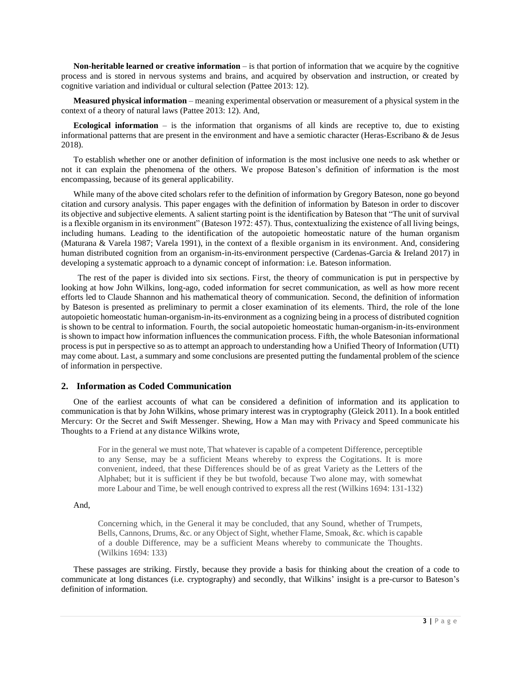**Non-heritable learned or creative information** – is that portion of information that we acquire by the cognitive process and is stored in nervous systems and brains, and acquired by observation and instruction, or created by cognitive variation and individual or cultural selection (Pattee 2013: 12).

**Measured physical information** – meaning experimental observation or measurement of a physical system in the context of a theory of natural laws (Pattee 2013: 12). And,

**Ecological information** – is the information that organisms of all kinds are receptive to, due to existing informational patterns that are present in the environment and have a semiotic character (Heras-Escribano & de Jesus 2018).

To establish whether one or another definition of information is the most inclusive one needs to ask whether or not it can explain the phenomena of the others. We propose Bateson's definition of information is the most encompassing, because of its general applicability.

While many of the above cited scholars refer to the definition of information by Gregory Bateson, none go beyond citation and cursory analysis. This paper engages with the definition of information by Bateson in order to discover its objective and subjective elements. A salient starting point is the identification by Bateson that "The unit of survival is a flexible organism in its environment" (Bateson 1972: 457). Thus, contextualizing the existence of all living beings, including humans. Leading to the identification of the autopoietic homeostatic nature of the human organism (Maturana & Varela 1987; Varela 1991), in the context of a flexible organism in its environment. And, considering human distributed cognition from an organism-in-its-environment perspective (Cardenas-Garcia & Ireland 2017) in developing a systematic approach to a dynamic concept of information: i.e. Bateson information.

 The rest of the paper is divided into six sections. First, the theory of communication is put in perspective by looking at how John Wilkins, long-ago, coded information for secret communication, as well as how more recent efforts led to Claude Shannon and his mathematical theory of communication. Second, the definition of information by Bateson is presented as preliminary to permit a closer examination of its elements. Third, the role of the lone autopoietic homeostatic human-organism-in-its-environment as a cognizing being in a process of distributed cognition is shown to be central to information. Fourth, the social autopoietic homeostatic human-organism-in-its-environment is shown to impact how information influences the communication process. Fifth, the whole Batesonian informational process is put in perspective so as to attempt an approach to understanding how a Unified Theory of Information (UTI) may come about. Last, a summary and some conclusions are presented putting the fundamental problem of the science of information in perspective.

#### **2. Information as Coded Communication**

One of the earliest accounts of what can be considered a definition of information and its application to communication is that by John Wilkins, whose primary interest was in cryptography (Gleick 2011). In a book entitled Mercury: Or the Secret and Swift Messenger. Shewing, How a Man may with Privacy and Speed communicate his Thoughts to a Friend at any distance Wilkins wrote,

For in the general we must note, That whatever is capable of a competent Difference, perceptible to any Sense, may be a sufficient Means whereby to express the Cogitations. It is more convenient, indeed, that these Differences should be of as great Variety as the Letters of the Alphabet; but it is sufficient if they be but twofold, because Two alone may, with somewhat more Labour and Time, be well enough contrived to express all the rest (Wilkins 1694: 131-132)

And,

Concerning which, in the General it may be concluded, that any Sound, whether of Trumpets, Bells, Cannons, Drums, &c. or any Object of Sight, whether Flame, Smoak, &c. which is capable of a double Difference, may be a sufficient Means whereby to communicate the Thoughts. (Wilkins 1694: 133)

These passages are striking. Firstly, because they provide a basis for thinking about the creation of a code to communicate at long distances (i.e. cryptography) and secondly, that Wilkins' insight is a pre-cursor to Bateson's definition of information.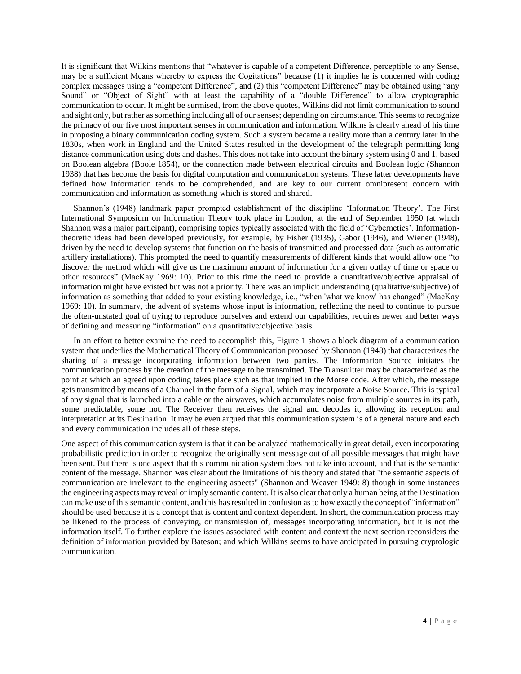It is significant that Wilkins mentions that "whatever is capable of a competent Difference, perceptible to any Sense, may be a sufficient Means whereby to express the Cogitations" because (1) it implies he is concerned with coding complex messages using a "competent Difference", and (2) this "competent Difference" may be obtained using "any Sound" or "Object of Sight" with at least the capability of a "double Difference" to allow cryptographic communication to occur. It might be surmised, from the above quotes, Wilkins did not limit communication to sound and sight only, but rather as something including all of our senses; depending on circumstance. This seems to recognize the primacy of our five most important senses in communication and information. Wilkins is clearly ahead of his time in proposing a binary communication coding system. Such a system became a reality more than a century later in the 1830s, when work in England and the United States resulted in the development of the telegraph permitting long distance communication using dots and dashes. This does not take into account the binary system using 0 and 1, based on Boolean algebra (Boole 1854), or the connection made between electrical circuits and Boolean logic (Shannon 1938) that has become the basis for digital computation and communication systems. These latter developments have defined how information tends to be comprehended, and are key to our current omnipresent concern with communication and information as something which is stored and shared.

Shannon's (1948) landmark paper prompted establishment of the discipline 'Information Theory'. The First International Symposium on Information Theory took place in London, at the end of September 1950 (at which Shannon was a major participant), comprising topics typically associated with the field of 'Cybernetics'. Informationtheoretic ideas had been developed previously, for example, by Fisher (1935), Gabor (1946), and Wiener (1948), driven by the need to develop systems that function on the basis of transmitted and processed data (such as automatic artillery installations). This prompted the need to quantify measurements of different kinds that would allow one "to discover the method which will give us the maximum amount of information for a given outlay of time or space or other resources" (MacKay 1969: 10). Prior to this time the need to provide a quantitative/objective appraisal of information might have existed but was not a priority. There was an implicit understanding (qualitative/subjective) of information as something that added to your existing knowledge, i.e., "when 'what we know' has changed" (MacKay 1969: 10). In summary, the advent of systems whose input is information, reflecting the need to continue to pursue the often-unstated goal of trying to reproduce ourselves and extend our capabilities, requires newer and better ways of defining and measuring "information" on a quantitative/objective basis.

In an effort to better examine the need to accomplish this, Figure 1 shows a block diagram of a communication system that underlies the Mathematical Theory of Communication proposed by Shannon (1948) that characterizes the sharing of a message incorporating information between two parties. The Information Source initiates the communication process by the creation of the message to be transmitted. The Transmitter may be characterized as the point at which an agreed upon coding takes place such as that implied in the Morse code. After which, the message gets transmitted by means of a Channel in the form of a Signal, which may incorporate a Noise Source. This is typical of any signal that is launched into a cable or the airwaves, which accumulates noise from multiple sources in its path, some predictable, some not. The Receiver then receives the signal and decodes it, allowing its reception and interpretation at its Destination. It may be even argued that this communication system is of a general nature and each and every communication includes all of these steps.

One aspect of this communication system is that it can be analyzed mathematically in great detail, even incorporating probabilistic prediction in order to recognize the originally sent message out of all possible messages that might have been sent. But there is one aspect that this communication system does not take into account, and that is the semantic content of the message. Shannon was clear about the limitations of his theory and stated that "the semantic aspects of communication are irrelevant to the engineering aspects" (Shannon and Weaver 1949: 8) though in some instances the engineering aspects may reveal or imply semantic content. It is also clear that only a human being at the Destination can make use of this semantic content, and this has resulted in confusion as to how exactly the concept of "information" should be used because it is a concept that is content and context dependent. In short, the communication process may be likened to the process of conveying, or transmission of, messages incorporating information, but it is not the information itself. To further explore the issues associated with content and context the next section reconsiders the definition of information provided by Bateson; and which Wilkins seems to have anticipated in pursuing cryptologic communication.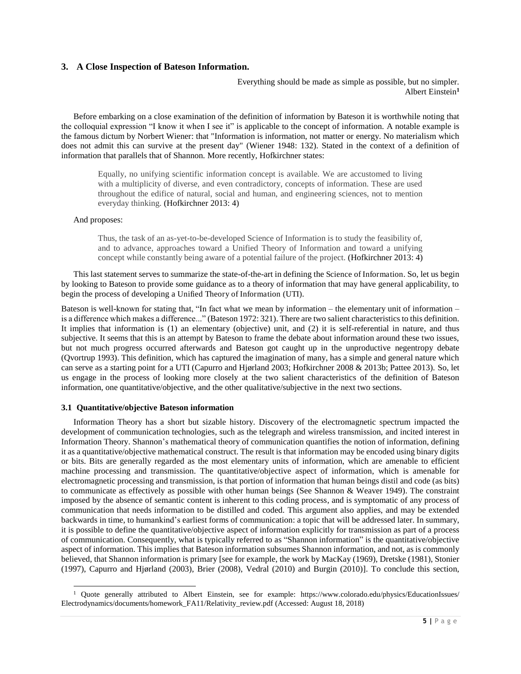#### **3. A Close Inspection of Bateson Information.**

Everything should be made as simple as possible, but no simpler. Albert Einstein**<sup>1</sup>**

Before embarking on a close examination of the definition of information by Bateson it is worthwhile noting that the colloquial expression "I know it when I see it" is applicable to the concept of information. A notable example is the famous dictum by Norbert Wiener: that "Information is information, not matter or energy. No materialism which does not admit this can survive at the present day" (Wiener 1948: 132). Stated in the context of a definition of information that parallels that of Shannon. More recently, Hofkirchner states:

Equally, no unifying scientific information concept is available. We are accustomed to living with a multiplicity of diverse, and even contradictory, concepts of information. These are used throughout the edifice of natural, social and human, and engineering sciences, not to mention everyday thinking. (Hofkirchner 2013: 4)

#### And proposes:

Thus, the task of an as-yet-to-be-developed Science of Information is to study the feasibility of, and to advance, approaches toward a Unified Theory of Information and toward a unifying concept while constantly being aware of a potential failure of the project. (Hofkirchner 2013: 4)

This last statement serves to summarize the state-of-the-art in defining the Science of Information. So, let us begin by looking to Bateson to provide some guidance as to a theory of information that may have general applicability, to begin the process of developing a Unified Theory of Information (UTI).

Bateson is well-known for stating that, "In fact what we mean by information – the elementary unit of information – is a difference which makes a difference..." (Bateson 1972: 321). There are two salient characteristics to this definition. It implies that information is (1) an elementary (objective) unit, and (2) it is self-referential in nature, and thus subjective. It seems that this is an attempt by Bateson to frame the debate about information around these two issues, but not much progress occurred afterwards and Bateson got caught up in the unproductive negentropy debate (Qvortrup 1993). This definition, which has captured the imagination of many, has a simple and general nature which can serve as a starting point for a UTI (Capurro and Hjørland 2003; Hofkirchner 2008 & 2013b; Pattee 2013). So, let us engage in the process of looking more closely at the two salient characteristics of the definition of Bateson information, one quantitative/objective, and the other qualitative/subjective in the next two sections.

#### **3.1 Quantitative/objective Bateson information**

Information Theory has a short but sizable history. Discovery of the electromagnetic spectrum impacted the development of communication technologies, such as the telegraph and wireless transmission, and incited interest in Information Theory. Shannon's mathematical theory of communication quantifies the notion of information, defining it as a quantitative/objective mathematical construct. The result is that information may be encoded using binary digits or bits. Bits are generally regarded as the most elementary units of information, which are amenable to efficient machine processing and transmission. The quantitative/objective aspect of information, which is amenable for electromagnetic processing and transmission, is that portion of information that human beings distil and code (as bits) to communicate as effectively as possible with other human beings (See Shannon & Weaver 1949). The constraint imposed by the absence of semantic content is inherent to this coding process, and is symptomatic of any process of communication that needs information to be distilled and coded. This argument also applies, and may be extended backwards in time, to humankind's earliest forms of communication: a topic that will be addressed later. In summary, it is possible to define the quantitative/objective aspect of information explicitly for transmission as part of a process of communication. Consequently, what is typically referred to as "Shannon information" is the quantitative/objective aspect of information. This implies that Bateson information subsumes Shannon information, and not, as is commonly believed, that Shannon information is primary [see for example, the work by MacKay (1969), Dretske (1981), Stonier (1997), Capurro and Hjørland (2003), Brier (2008), Vedral (2010) and Burgin (2010)]. To conclude this section,

 1 Quote generally attributed to Albert Einstein, see for example: https://www.colorado.edu/physics/EducationIssues/ Electrodynamics/documents/homework\_FA11/Relativity\_review.pdf (Accessed: August 18, 2018)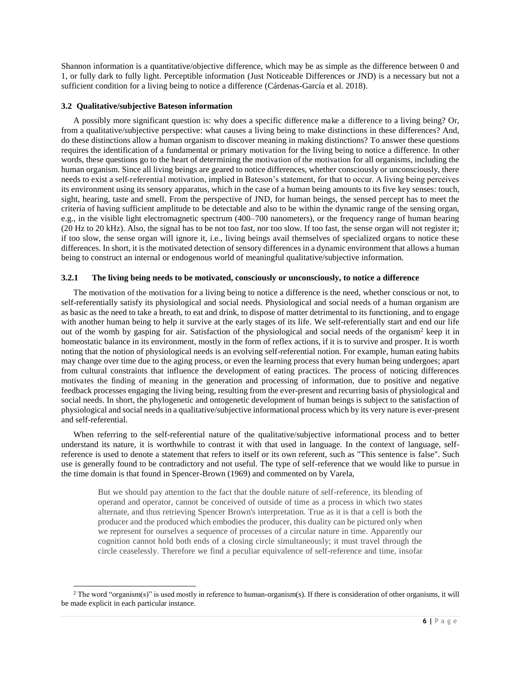Shannon information is a quantitative/objective difference, which may be as simple as the difference between 0 and 1, or fully dark to fully light. Perceptible information (Just Noticeable Differences or JND) is a necessary but not a sufficient condition for a living being to notice a difference (Cárdenas-García et al. 2018).

#### **3.2 Qualitative/subjective Bateson information**

l

A possibly more significant question is: why does a specific difference make a difference to a living being? Or, from a qualitative/subjective perspective: what causes a living being to make distinctions in these differences? And, do these distinctions allow a human organism to discover meaning in making distinctions? To answer these questions requires the identification of a fundamental or primary motivation for the living being to notice a difference. In other words, these questions go to the heart of determining the motivation of the motivation for all organisms, including the human organism. Since all living beings are geared to notice differences, whether consciously or unconsciously, there needs to exist a self-referential motivation, implied in Bateson's statement, for that to occur. A living being perceives its environment using its sensory apparatus, which in the case of a human being amounts to its five key senses: touch, sight, hearing, taste and smell. From the perspective of JND, for human beings, the sensed percept has to meet the criteria of having sufficient amplitude to be detectable and also to be within the dynamic range of the sensing organ, e.g., in the visible light electromagnetic spectrum (400–700 nanometers), or the frequency range of human hearing (20 Hz to 20 kHz). Also, the signal has to be not too fast, nor too slow. If too fast, the sense organ will not register it; if too slow, the sense organ will ignore it, i.e., living beings avail themselves of specialized organs to notice these differences. In short, it is the motivated detection of sensory differences in a dynamic environment that allows a human being to construct an internal or endogenous world of meaningful qualitative/subjective information.

#### **3.2.1 The living being needs to be motivated, consciously or unconsciously, to notice a difference**

The motivation of the motivation for a living being to notice a difference is the need, whether conscious or not, to self-referentially satisfy its physiological and social needs. Physiological and social needs of a human organism are as basic as the need to take a breath, to eat and drink, to dispose of matter detrimental to its functioning, and to engage with another human being to help it survive at the early stages of its life. We self-referentially start and end our life out of the womb by gasping for air. Satisfaction of the physiological and social needs of the organism<sup>2</sup> keep it in homeostatic balance in its environment, mostly in the form of reflex actions, if it is to survive and prosper. It is worth noting that the notion of physiological needs is an evolving self-referential notion. For example, human eating habits may change over time due to the aging process, or even the learning process that every human being undergoes; apart from cultural constraints that influence the development of eating practices. The process of noticing differences motivates the finding of meaning in the generation and processing of information, due to positive and negative feedback processes engaging the living being, resulting from the ever-present and recurring basis of physiological and social needs. In short, the phylogenetic and ontogenetic development of human beings is subject to the satisfaction of physiological and social needs in a qualitative/subjective informational process which by its very nature is ever-present and self-referential.

When referring to the self-referential nature of the qualitative/subjective informational process and to better understand its nature, it is worthwhile to contrast it with that used in language. In the context of language, selfreference is used to denote a statement that refers to itself or its own referent, such as "This sentence is false". Such use is generally found to be contradictory and not useful. The type of self-reference that we would like to pursue in the time domain is that found in Spencer-Brown (1969) and commented on by Varela,

But we should pay attention to the fact that the double nature of self-reference, its blending of operand and operator, cannot be conceived of outside of time as a process in which two states alternate, and thus retrieving Spencer Brown's interpretation. True as it is that a cell is both the producer and the produced which embodies the producer, this duality can be pictured only when we represent for ourselves a sequence of processes of a circular nature in time. Apparently our cognition cannot hold both ends of a closing circle simultaneously; it must travel through the circle ceaselessly. Therefore we find a peculiar equivalence of self-reference and time, insofar

 $2$  The word "organism(s)" is used mostly in reference to human-organism(s). If there is consideration of other organisms, it will be made explicit in each particular instance.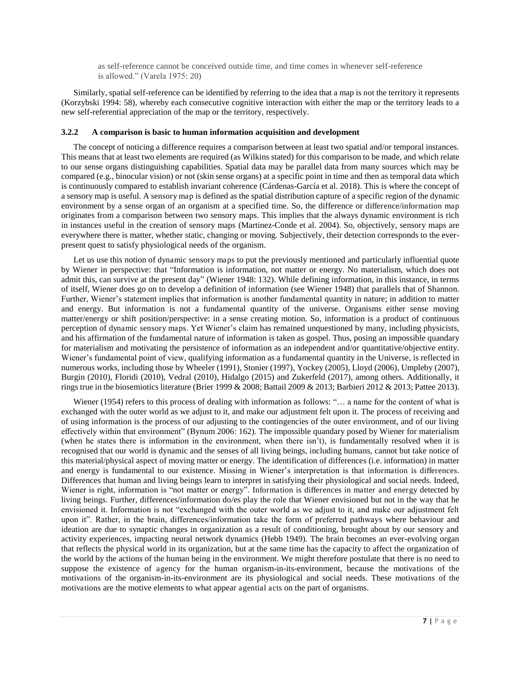as self-reference cannot be conceived outside time, and time comes in whenever self-reference is allowed." (Varela 1975: 20)

Similarly, spatial self-reference can be identified by referring to the idea that a map is not the territory it represents (Korzybski 1994: 58), whereby each consecutive cognitive interaction with either the map or the territory leads to a new self-referential appreciation of the map or the territory, respectively.

#### **3.2.2 A comparison is basic to human information acquisition and development**

The concept of noticing a difference requires a comparison between at least two spatial and/or temporal instances. This means that at least two elements are required (as Wilkins stated) for this comparison to be made, and which relate to our sense organs distinguishing capabilities. Spatial data may be parallel data from many sources which may be compared (e.g., binocular vision) or not (skin sense organs) at a specific point in time and then as temporal data which is continuously compared to establish invariant coherence (Cárdenas-García et al. 2018). This is where the concept of a sensory map is useful. A sensory map is defined as the spatial distribution capture of a specific region of the dynamic environment by a sense organ of an organism at a specified time. So, the difference or difference/information map originates from a comparison between two sensory maps. This implies that the always dynamic environment is rich in instances useful in the creation of sensory maps (Martinez-Conde et al. 2004). So, objectively, sensory maps are everywhere there is matter, whether static, changing or moving. Subjectively, their detection corresponds to the everpresent quest to satisfy physiological needs of the organism.

Let us use this notion of dynamic sensory maps to put the previously mentioned and particularly influential quote by Wiener in perspective: that "Information is information, not matter or energy. No materialism, which does not admit this, can survive at the present day" (Wiener 1948: 132). While defining information, in this instance, in terms of itself, Wiener does go on to develop a definition of information (see Wiener 1948) that parallels that of Shannon. Further, Wiener's statement implies that information is another fundamental quantity in nature; in addition to matter and energy. But information is not a fundamental quantity of the universe. Organisms either sense moving matter/energy or shift position/perspective: in a sense creating motion. So, information is a product of continuous perception of dynamic sensory maps. Yet Wiener's claim has remained unquestioned by many, including physicists, and his affirmation of the fundamental nature of information is taken as gospel. Thus, posing an impossible quandary for materialism and motivating the persistence of information as an independent and/or quantitative/objective entity. Wiener's fundamental point of view, qualifying information as a fundamental quantity in the Universe, is reflected in numerous works, including those by Wheeler (1991), Stonier (1997), Yockey (2005), Lloyd (2006), Umpleby (2007), Burgin (2010), Floridi (2010), Vedral (2010), Hidalgo (2015) and Zukerfeld (2017), among others. Additionally, it rings true in the biosemiotics literature (Brier 1999 & 2008; Battail 2009 & 2013; Barbieri 2012 & 2013; Pattee 2013).

Wiener (1954) refers to this process of dealing with information as follows: "... a name for the content of what is exchanged with the outer world as we adjust to it, and make our adjustment felt upon it. The process of receiving and of using information is the process of our adjusting to the contingencies of the outer environment, and of our living effectively within that environment" (Bynum 2006: 162). The impossible quandary posed by Wiener for materialism (when he states there is information in the environment, when there isn't), is fundamentally resolved when it is recognised that our world is dynamic and the senses of all living beings, including humans, cannot but take notice of this material/physical aspect of moving matter or energy. The identification of differences (i.e. information) in matter and energy is fundamental to our existence. Missing in Wiener's interpretation is that information is differences. Differences that human and living beings learn to interpret in satisfying their physiological and social needs. Indeed, Wiener is right, information is "not matter or energy". Information is differences in matter and energy detected by living beings. Further, differences/information do/es play the role that Wiener envisioned but not in the way that he envisioned it. Information is not "exchanged with the outer world as we adjust to it, and make our adjustment felt upon it". Rather, in the brain, differences/information take the form of preferred pathways where behaviour and ideation are due to synaptic changes in organization as a result of conditioning, brought about by our sensory and activity experiences, impacting neural network dynamics (Hebb 1949). The brain becomes an ever-evolving organ that reflects the physical world in its organization, but at the same time has the capacity to affect the organization of the world by the actions of the human being in the environment. We might therefore postulate that there is no need to suppose the existence of agency for the human organism-in-its-environment, because the motivations of the motivations of the organism-in-its-environment are its physiological and social needs. These motivations of the motivations are the motive elements to what appear agential acts on the part of organisms.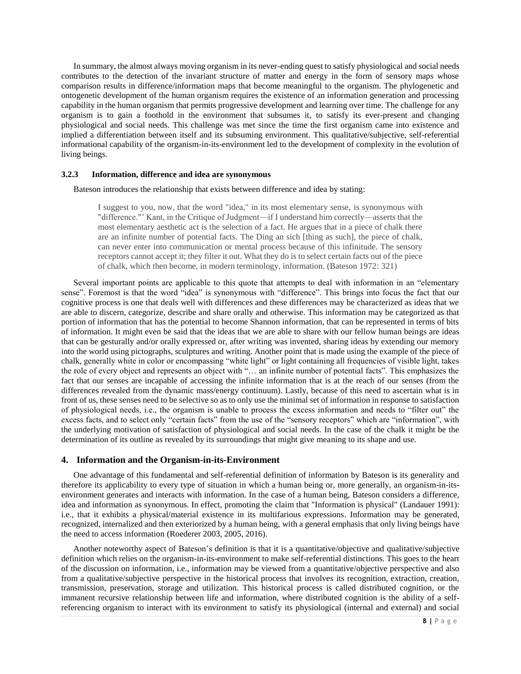In summary, the almost always moving organism in its never-ending quest to satisfy physiological and social needs contributes to the detection of the invariant structure of matter and energy in the form of sensory maps whose comparison results in difference/information maps that become meaningful to the organism. The phylogenetic and ontogenetic development of the human organism requires the existence of an information generation and processing capability in the human organism that permits progressive development and learning over time. The challenge for any organism is to gain a foothold in the environment that subsumes it, to satisfy its ever-present and changing physiological and social needs. This challenge was met since the time the first organism came into existence and implied a differentiation between itself and its subsuming environment. This qualitative/subjective, self-referential informational capability of the organism-in-its-environment led to the development of complexity in the evolution of living beings.

#### **3.2.3 Information, difference and idea are synonymous**

Bateson introduces the relationship that exists between difference and idea by stating:

I suggest to you, now, that the word "idea," in its most elementary sense, is synonymous with "difference."' Kant, in the Critique of Judgment—if I understand him correctly—asserts that the most elementary aesthetic act is the selection of a fact. He argues that in a piece of chalk there are an infinite number of potential facts. The Ding an sich [thing as such], the piece of chalk, can never enter into communication or mental process because of this infinitude. The sensory receptors cannot accept it; they filter it out. What they do is to select certain facts out of the piece of chalk, which then become, in modern terminology, information. (Bateson 1972: 321)

Several important points are applicable to this quote that attempts to deal with information in an "elementary sense". Foremost is that the word "idea" is synonymous with "difference". This brings into focus the fact that our cognitive process is one that deals well with differences and these differences may be characterized as ideas that we are able to discern, categorize, describe and share orally and otherwise. This information may be categorized as that portion of information that has the potential to become Shannon information, that can be represented in terms of bits of information. It might even be said that the ideas that we are able to share with our fellow human beings are ideas that can be gesturally and/or orally expressed or, after writing was invented, sharing ideas by extending our memory into the world using pictographs, sculptures and writing. Another point that is made using the example of the piece of chalk, generally white in color or encompassing "white light" or light containing all frequencies of visible light, takes the role of every object and represents an object with "… an infinite number of potential facts". This emphasizes the fact that our senses are incapable of accessing the infinite information that is at the reach of our senses (from the differences revealed from the dynamic mass/energy continuum). Lastly, because of this need to ascertain what is in front of us, these senses need to be selective so as to only use the minimal set of information in response to satisfaction of physiological needs, i.e., the organism is unable to process the excess information and needs to "filter out" the excess facts, and to select only "certain facts" from the use of the "sensory receptors" which are "information", with the underlying motivation of satisfaction of physiological and social needs. In the case of the chalk it might be the determination of its outline as revealed by its surroundings that might give meaning to its shape and use.

#### **4. Information and the Organism-in-its-Environment**

One advantage of this fundamental and self-referential definition of information by Bateson is its generality and therefore its applicability to every type of situation in which a human being or, more generally, an organism-in-itsenvironment generates and interacts with information. In the case of a human being, Bateson considers a difference, idea and information as synonymous. In effect, promoting the claim that "Information is physical" (Landauer 1991): i.e., that it exhibits a physical/material existence in its multifarious expressions. Information may be generated, recognized, internalized and then exteriorized by a human being, with a general emphasis that only living beings have the need to access information (Roederer 2003, 2005, 2016).

Another noteworthy aspect of Bateson's definition is that it is a quantitative/objective and qualitative/subjective definition which relies on the organism-in-its-environment to make self-referential distinctions. This goes to the heart of the discussion on information, i.e., information may be viewed from a quantitative/objective perspective and also from a qualitative/subjective perspective in the historical process that involves its recognition, extraction, creation, transmission, preservation, storage and utilization. This historical process is called distributed cognition, or the immanent recursive relationship between life and information, where distributed cognition is the ability of a selfreferencing organism to interact with its environment to satisfy its physiological (internal and external) and social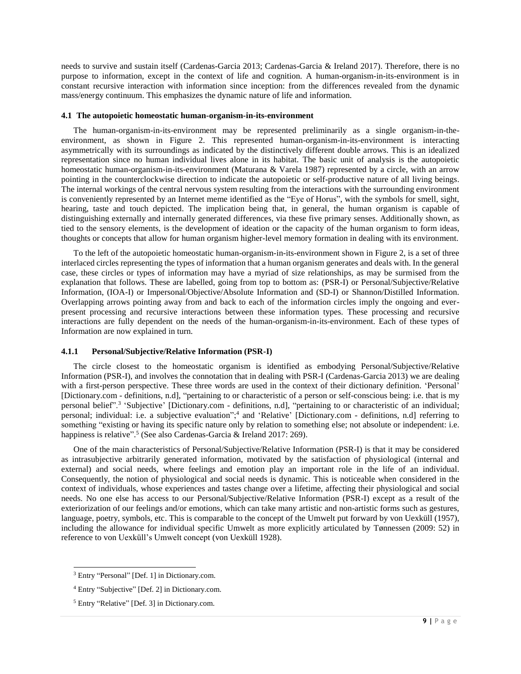needs to survive and sustain itself (Cardenas-Garcia 2013; Cardenas-Garcia & Ireland 2017). Therefore, there is no purpose to information, except in the context of life and cognition. A human-organism-in-its-environment is in constant recursive interaction with information since inception: from the differences revealed from the dynamic mass/energy continuum. This emphasizes the dynamic nature of life and information.

#### **4.1 The autopoietic homeostatic human-organism-in-its-environment**

The human-organism-in-its-environment may be represented preliminarily as a single organism-in-theenvironment, as shown in Figure 2. This represented human-organism-in-its-environment is interacting asymmetrically with its surroundings as indicated by the distinctively different double arrows. This is an idealized representation since no human individual lives alone in its habitat. The basic unit of analysis is the autopoietic homeostatic human-organism-in-its-environment (Maturana & Varela 1987) represented by a circle, with an arrow pointing in the counterclockwise direction to indicate the autopoietic or self-productive nature of all living beings. The internal workings of the central nervous system resulting from the interactions with the surrounding environment is conveniently represented by an Internet meme identified as the "Eye of Horus", with the symbols for smell, sight, hearing, taste and touch depicted. The implication being that, in general, the human organism is capable of distinguishing externally and internally generated differences, via these five primary senses. Additionally shown, as tied to the sensory elements, is the development of ideation or the capacity of the human organism to form ideas, thoughts or concepts that allow for human organism higher-level memory formation in dealing with its environment.

To the left of the autopoietic homeostatic human-organism-in-its-environment shown in Figure 2, is a set of three interlaced circles representing the types of information that a human organism generates and deals with. In the general case, these circles or types of information may have a myriad of size relationships, as may be surmised from the explanation that follows. These are labelled, going from top to bottom as: (PSR-I) or Personal/Subjective/Relative Information, (IOA-I) or Impersonal/Objective/Absolute Information and (SD-I) or Shannon/Distilled Information. Overlapping arrows pointing away from and back to each of the information circles imply the ongoing and everpresent processing and recursive interactions between these information types. These processing and recursive interactions are fully dependent on the needs of the human-organism-in-its-environment. Each of these types of Information are now explained in turn.

#### **4.1.1 Personal/Subjective/Relative Information (PSR-I)**

The circle closest to the homeostatic organism is identified as embodying Personal/Subjective/Relative Information (PSR-I), and involves the connotation that in dealing with PSR-I (Cardenas-Garcia 2013) we are dealing with a first-person perspective. These three words are used in the context of their dictionary definition. 'Personal' [Dictionary.com - definitions, n.d], "pertaining to or characteristic of a person or self-conscious being: i.e. that is my personal belief".<sup>3</sup> 'Subjective' [Dictionary.com - definitions, n.d], "pertaining to or characteristic of an individual; personal; individual: i.e. a subjective evaluation";<sup>4</sup> and 'Relative' [Dictionary.com - definitions, n.d] referring to something "existing or having its specific nature only by relation to something else; not absolute or independent: i.e. happiness is relative".<sup>5</sup> (See also Cardenas-Garcia & Ireland 2017: 269).

One of the main characteristics of Personal/Subjective/Relative Information (PSR-I) is that it may be considered as intrasubjective arbitrarily generated information, motivated by the satisfaction of physiological (internal and external) and social needs, where feelings and emotion play an important role in the life of an individual. Consequently, the notion of physiological and social needs is dynamic. This is noticeable when considered in the context of individuals, whose experiences and tastes change over a lifetime, affecting their physiological and social needs. No one else has access to our Personal/Subjective/Relative Information (PSR-I) except as a result of the exteriorization of our feelings and/or emotions, which can take many artistic and non-artistic forms such as gestures, language, poetry, symbols, etc. This is comparable to the concept of the Umwelt put forward by von Uexküll (1957), including the allowance for individual specific Umwelt as more explicitly articulated by Tønnessen (2009: 52) in reference to von Uexküll's Umwelt concept (von Uexküll 1928).

l

<sup>3</sup> Entry "Personal" [Def. 1] in Dictionary.com.

<sup>4</sup> Entry "Subjective" [Def. 2] in Dictionary.com.

<sup>5</sup> Entry "Relative" [Def. 3] in Dictionary.com.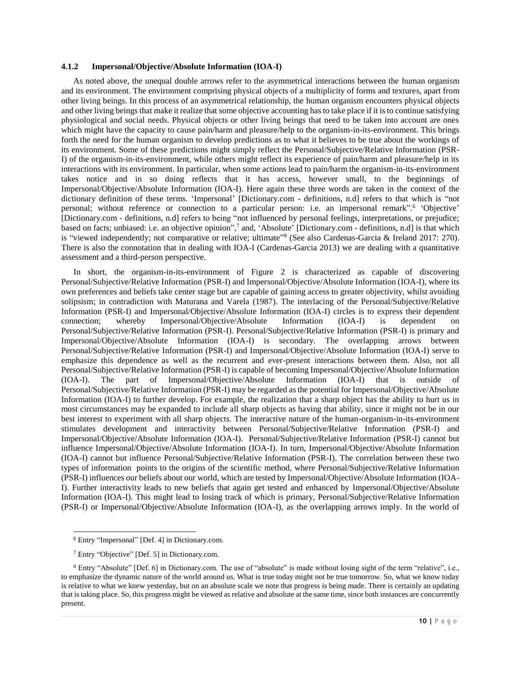#### **4.1.2 Impersonal/Objective/Absolute Information (IOA-I)**

As noted above, the unequal double arrows refer to the asymmetrical interactions between the human organism and its environment. The environment comprising physical objects of a multiplicity of forms and textures, apart from other living beings. In this process of an asymmetrical relationship, the human organism encounters physical objects and other living beings that make it realize that some objective accounting has to take place if it is to continue satisfying physiological and social needs. Physical objects or other living beings that need to be taken into account are ones which might have the capacity to cause pain/harm and pleasure/help to the organism-in-its-environment. This brings forth the need for the human organism to develop predictions as to what it believes to be true about the workings of its environment. Some of these predictions might simply reflect the Personal/Subjective/Relative Information (PSR-I) of the organism-in-its-environment, while others might reflect its experience of pain/harm and pleasure/help in its interactions with its environment. In particular, when some actions lead to pain/harm the organism-in-its-environment takes notice and in so doing reflects that it has access, however small, to the beginnings of Impersonal/Objective/Absolute Information (IOA-I). Here again these three words are taken in the context of the dictionary definition of these terms. 'Impersonal' [Dictionary.com - definitions, n.d] refers to that which is "not personal; without reference or connection to a particular person: i.e. an impersonal remark".<sup>6</sup> 'Objective' [Dictionary.com - definitions, n.d] refers to being "not influenced by personal feelings, interpretations, or prejudice; based on facts; unbiased: i.e. an objective opinion",<sup>7</sup> and, 'Absolute' [Dictionary.com - definitions, n.d] is that which is "viewed independently; not comparative or relative; ultimate"<sup>8</sup> (See also Cardenas-Garcia & Ireland 2017: 270). There is also the connotation that in dealing with IOA-I (Cardenas-Garcia 2013) we are dealing with a quantitative assessment and a third-person perspective.

In short, the organism-in-its-environment of Figure 2 is characterized as capable of discovering Personal/Subjective/Relative Information (PSR-I) and Impersonal/Objective/Absolute Information (IOA-I), where its own preferences and beliefs take center stage but are capable of gaining access to greater objectivity, whilst avoiding solipsism; in contradiction with Maturana and Varela (1987). The interlacing of the Personal/Subjective/Relative Information (PSR-I) and Impersonal/Objective/Absolute Information (IOA-I) circles is to express their dependent connection: whereby Impersonal/Objective/Absolute Information (IOA-I) is dependent on connection; whereby Impersonal/Objective/Absolute Information (IOA-I) is dependent Personal/Subjective/Relative Information (PSR-I). Personal/Subjective/Relative Information (PSR-I) is primary and Impersonal/Objective/Absolute Information (IOA-I) is secondary. The overlapping arrows between Personal/Subjective/Relative Information (PSR-I) and Impersonal/Objective/Absolute Information (IOA-I) serve to emphasize this dependence as well as the recurrent and ever-present interactions between them. Also, not all Personal/Subjective/Relative Information (PSR-I) is capable of becoming Impersonal/Objective/Absolute Information (IOA-I). The part of Impersonal/Objective/Absolute Information (IOA-I) that is outside of Personal/Subjective/Relative Information (PSR-I) may be regarded as the potential for Impersonal/Objective/Absolute Information (IOA-I) to further develop. For example, the realization that a sharp object has the ability to hurt us in most circumstances may be expanded to include all sharp objects as having that ability, since it might not be in our best interest to experiment with all sharp objects. The interactive nature of the human-organism-in-its-environment stimulates development and interactivity between Personal/Subjective/Relative Information (PSR-I) and Impersonal/Objective/Absolute Information (IOA-I). Personal/Subjective/Relative Information (PSR-I) cannot but influence Impersonal/Objective/Absolute Information (IOA-I). In turn, Impersonal/Objective/Absolute Information (IOA-I) cannot but influence Personal/Subjective/Relative Information (PSR-I). The correlation between these two types of information points to the origins of the scientific method, where Personal/Subjective/Relative Information (PSR-I) influences our beliefs about our world, which are tested by Impersonal/Objective/Absolute Information (IOA-I). Further interactivity leads to new beliefs that again get tested and enhanced by Impersonal/Objective/Absolute Information (IOA-I). This might lead to losing track of which is primary, Personal/Subjective/Relative Information (PSR-I) or Impersonal/Objective/Absolute Information (IOA-I), as the overlapping arrows imply. In the world of

l 6 Entry "Impersonal" [Def. 4] in Dictionary.com.

<sup>7</sup> Entry "Objective" [Def. 5] in Dictionary.com.

<sup>8</sup> Entry "Absolute" [Def. 6] in Dictionary.com. The use of "absolute" is made without losing sight of the term "relative", i.e., to emphasize the dynamic nature of the world around us. What is true today might not be true tomorrow. So, what we know today is relative to what we knew yesterday, but on an absolute scale we note that progress is being made. There is certainly an updating that is taking place. So, this progress might be viewed as relative and absolute at the same time, since both instances are concurrently present.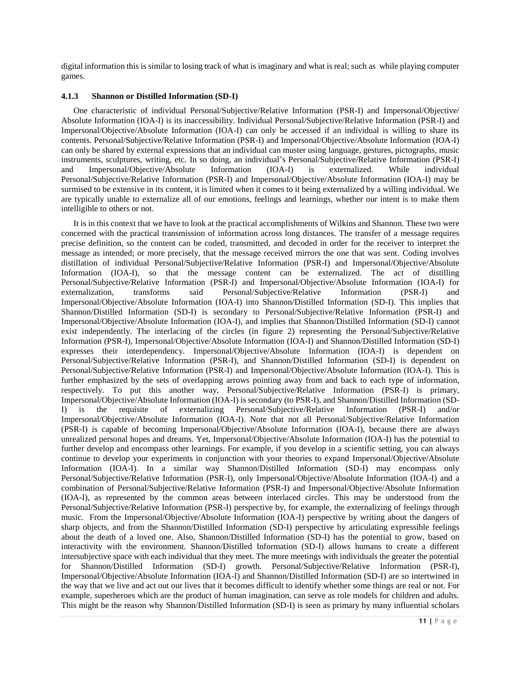digital information this is similar to losing track of what is imaginary and what is real; such as while playing computer games.

#### **4.1.3 Shannon or Distilled Information (SD-I)**

One characteristic of individual Personal/Subjective/Relative Information (PSR-I) and Impersonal/Objective/ Absolute Information (IOA-I) is its inaccessibility. Individual Personal/Subjective/Relative Information (PSR-I) and Impersonal/Objective/Absolute Information (IOA-I) can only be accessed if an individual is willing to share its contents. Personal/Subjective/Relative Information (PSR-I) and Impersonal/Objective/Absolute Information (IOA-I) can only be shared by external expressions that an individual can muster using language, gestures, pictographs, music instruments, sculptures, writing, etc. In so doing, an individual's Personal/Subjective/Relative Information (PSR-I) and Impersonal/Objective/Absolute Information (IOA-I) is externalized. While individual Personal/Subjective/Relative Information (PSR-I) and Impersonal/Objective/Absolute Information (IOA-I) may be surmised to be extensive in its content, it is limited when it comes to it being externalized by a willing individual. We are typically unable to externalize all of our emotions, feelings and learnings, whether our intent is to make them intelligible to others or not.

It is in this context that we have to look at the practical accomplishments of Wilkins and Shannon. These two were concerned with the practical transmission of information across long distances. The transfer of a message requires precise definition, so the content can be coded, transmitted, and decoded in order for the receiver to interpret the message as intended; or more precisely, that the message received mirrors the one that was sent. Coding involves distillation of individual Personal/Subjective/Relative Information (PSR-I) and Impersonal/Objective/Absolute Information (IOA-I), so that the message content can be externalized. The act of distilling Personal/Subjective/Relative Information (PSR-I) and Impersonal/Objective/Absolute Information (IOA-I) for externalization, transforms said Personal/Subjective/Relative Information (PSR-I) and Impersonal/Objective/Absolute Information (IOA-I) into Shannon/Distilled Information (SD-I). This implies that Shannon/Distilled Information (SD-I) is secondary to Personal/Subjective/Relative Information (PSR-I) and Impersonal/Objective/Absolute Information (IOA-I), and implies that Shannon/Distilled Information (SD-I) cannot exist independently. The interlacing of the circles (in figure 2) representing the Personal/Subjective/Relative Information (PSR-I), Impersonal/Objective/Absolute Information (IOA-I) and Shannon/Distilled Information (SD-I) expresses their interdependency. Impersonal/Objective/Absolute Information (IOA-I) is dependent on Personal/Subjective/Relative Information (PSR-I), and Shannon/Distilled Information (SD-I) is dependent on Personal/Subjective/Relative Information (PSR-I) and Impersonal/Objective/Absolute Information (IOA-I). This is further emphasized by the sets of overlapping arrows pointing away from and back to each type of information, respectively. To put this another way, Personal/Subjective/Relative Information (PSR-I) is primary, Impersonal/Objective/Absolute Information (IOA-I) is secondary (to PSR-I), and Shannon/Distilled Information (SD-I) is the requisite of externalizing Personal/Subjective/Relative Information (PSR-I) and/or Impersonal/Objective/Absolute Information (IOA-I). Note that not all Personal/Subjective/Relative Information (PSR-I) is capable of becoming Impersonal/Objective/Absolute Information (IOA-I), because there are always unrealized personal hopes and dreams. Yet, Impersonal/Objective/Absolute Information (IOA-I) has the potential to further develop and encompass other learnings. For example, if you develop in a scientific setting, you can always continue to develop your experiments in conjunction with your theories to expand Impersonal/Objective/Absolute Information (IOA-I). In a similar way Shannon/Distilled Information (SD-I) may encompass only Personal/Subjective/Relative Information (PSR-I), only Impersonal/Objective/Absolute Information (IOA-I) and a combination of Personal/Subjective/Relative Information (PSR-I) and Impersonal/Objective/Absolute Information (IOA-I), as represented by the common areas between interlaced circles. This may be understood from the Personal/Subjective/Relative Information (PSR-I) perspective by, for example, the externalizing of feelings through music. From the Impersonal/Objective/Absolute Information (IOA-I) perspective by writing about the dangers of sharp objects, and from the Shannon/Distilled Information (SD-I) perspective by articulating expressible feelings about the death of a loved one. Also, Shannon/Distilled Information (SD-I) has the potential to grow, based on interactivity with the environment. Shannon/Distilled Information (SD-I) allows humans to create a different intersubjective space with each individual that they meet. The more meetings with individuals the greater the potential for Shannon/Distilled Information (SD-I) growth. Personal/Subjective/Relative Information (PSR-I), Impersonal/Objective/Absolute Information (IOA-I) and Shannon/Distilled Information (SD-I) are so intertwined in the way that we live and act out our lives that it becomes difficult to identify whether some things are real or not. For example, superheroes which are the product of human imagination, can serve as role models for children and adults. This might be the reason why Shannon/Distilled Information (SD-I) is seen as primary by many influential scholars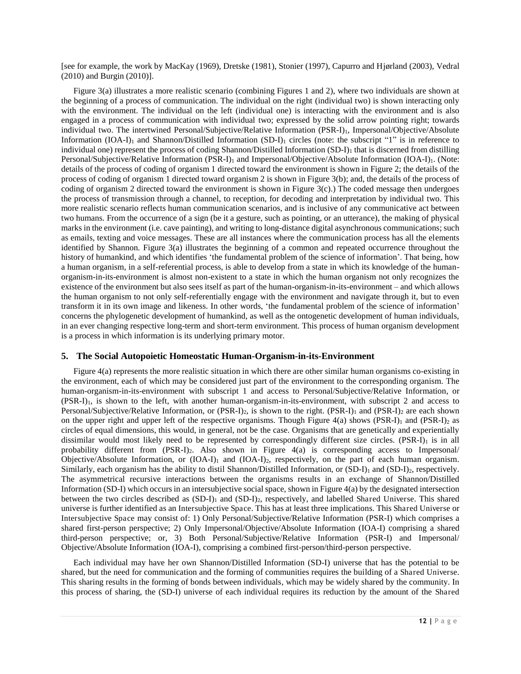[see for example, the work by MacKay (1969), Dretske (1981), Stonier (1997), Capurro and Hjørland (2003), Vedral (2010) and Burgin (2010)].

Figure 3(a) illustrates a more realistic scenario (combining Figures 1 and 2), where two individuals are shown at the beginning of a process of communication. The individual on the right (individual two) is shown interacting only with the environment. The individual on the left (individual one) is interacting with the environment and is also engaged in a process of communication with individual two; expressed by the solid arrow pointing right; towards individual two. The intertwined Personal/Subjective/Relative Information (PSR-I)<sub>1</sub>, Impersonal/Objective/Absolute Information  $(IOA-I)_1$  and Shannon/Distilled Information  $(SD-I)_1$  circles (note: the subscript "1" is in reference to individual one) represent the process of coding Shannon/Distilled Information (SD-I)<sub>1</sub> that is discerned from distilling Personal/Subjective/Relative Information (PSR-I)<sub>1</sub> and Impersonal/Objective/Absolute Information (IOA-I)<sub>1</sub>. (Note: details of the process of coding of organism 1 directed toward the environment is shown in Figure 2; the details of the process of coding of organism 1 directed toward organism 2 is shown in Figure 3(b); and, the details of the process of coding of organism 2 directed toward the environment is shown in Figure  $3(c)$ .) The coded message then undergoes the process of transmission through a channel, to reception, for decoding and interpretation by individual two. This more realistic scenario reflects human communication scenarios, and is inclusive of any communicative act between two humans. From the occurrence of a sign (be it a gesture, such as pointing, or an utterance), the making of physical marks in the environment (i.e. cave painting), and writing to long-distance digital asynchronous communications; such as emails, texting and voice messages. These are all instances where the communication process has all the elements identified by Shannon. Figure 3(a) illustrates the beginning of a common and repeated occurrence throughout the history of humankind, and which identifies 'the fundamental problem of the science of information'. That being, how a human organism, in a self-referential process, is able to develop from a state in which its knowledge of the humanorganism-in-its-environment is almost non-existent to a state in which the human organism not only recognizes the existence of the environment but also sees itself as part of the human-organism-in-its-environment – and which allows the human organism to not only self-referentially engage with the environment and navigate through it, but to even transform it in its own image and likeness. In other words, 'the fundamental problem of the science of information' concerns the phylogenetic development of humankind, as well as the ontogenetic development of human individuals, in an ever changing respective long-term and short-term environment. This process of human organism development is a process in which information is its underlying primary motor.

#### **5. The Social Autopoietic Homeostatic Human-Organism-in-its-Environment**

Figure 4(a) represents the more realistic situation in which there are other similar human organisms co-existing in the environment, each of which may be considered just part of the environment to the corresponding organism. The human-organism-in-its-environment with subscript 1 and access to Personal/Subjective/Relative Information, or (PSR-I)1, is shown to the left, with another human-organism-in-its-environment, with subscript 2 and access to Personal/Subjective/Relative Information, or  $(PSR-I)_2$ , is shown to the right.  $(PSR-I)_1$  and  $(PSR-I)_2$  are each shown on the upper right and upper left of the respective organisms. Though Figure 4(a) shows (PSR-I)<sub>1</sub> and (PSR-I)<sub>2</sub> as circles of equal dimensions, this would, in general, not be the case. Organisms that are genetically and experientially dissimilar would most likely need to be represented by correspondingly different size circles.  $(PSR-I)_1$  is in all probability different from (PSR-I)<sub>2</sub>. Also shown in Figure 4(a) is corresponding access to Impersonal/ Objective/Absolute Information, or  $(IOA-I)<sub>1</sub>$  and  $(IOA-I)<sub>2</sub>$ , respectively, on the part of each human organism. Similarly, each organism has the ability to distil Shannon/Distilled Information, or (SD-I)<sub>1</sub> and (SD-I)<sub>2</sub>, respectively. The asymmetrical recursive interactions between the organisms results in an exchange of Shannon/Distilled Information (SD-I) which occurs in an intersubjective social space, shown in Figure  $4(a)$  by the designated intersection between the two circles described as  $(SD-I)_1$  and  $(SD-I)_2$ , respectively, and labelled Shared Universe. This shared universe is further identified as an Intersubjective Space. This has at least three implications. This Shared Universe or Intersubjective Space may consist of: 1) Only Personal/Subjective/Relative Information (PSR-I) which comprises a shared first-person perspective; 2) Only Impersonal/Objective/Absolute Information (IOA-I) comprising a shared third-person perspective; or, 3) Both Personal/Subjective/Relative Information (PSR-I) and Impersonal/ Objective/Absolute Information (IOA-I), comprising a combined first-person/third-person perspective.

Each individual may have her own Shannon/Distilled Information (SD-I) universe that has the potential to be shared, but the need for communication and the forming of communities requires the building of a Shared Universe. This sharing results in the forming of bonds between individuals, which may be widely shared by the community. In this process of sharing, the (SD-I) universe of each individual requires its reduction by the amount of the Shared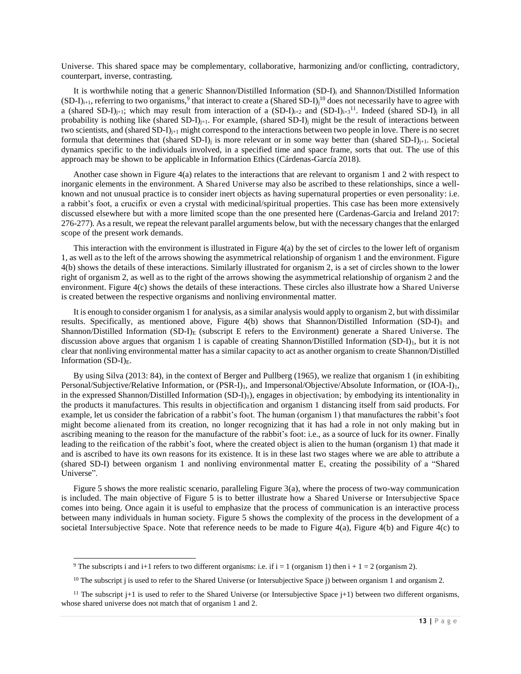Universe. This shared space may be complementary, collaborative, harmonizing and/or conflicting, contradictory, counterpart, inverse, contrasting.

It is worthwhile noting that a generic Shannon/Distilled Information (SD-I)i and Shannon/Distilled Information  $(SD-I)_{i+1}$ , referring to two organisms,<sup>9</sup> that interact to create a (Shared SD-I)<sub>i</sub><sup>10</sup> does not necessarily have to agree with a (shared SD-I)<sub>j+1</sub>; which may result from interaction of a  $(SD-I)_{i+2}$  and  $(SD-I)_{i+3}$ <sup>11</sup>. Indeed (shared SD-I)<sub>j</sub> in all probability is nothing like (shared SD-I) $_{i+1}$ . For example, (shared SD-I) $_{i}$  might be the result of interactions between two scientists, and (shared SD-I) $_{i+1}$  might correspond to the interactions between two people in love. There is no secret formula that determines that (shared SD-I)<sub>i</sub> is more relevant or in some way better than (shared SD-I)<sub>i+1</sub>. Societal dynamics specific to the individuals involved, in a specified time and space frame, sorts that out. The use of this approach may be shown to be applicable in Information Ethics (Cárdenas-García 2018).

Another case shown in Figure 4(a) relates to the interactions that are relevant to organism 1 and 2 with respect to inorganic elements in the environment. A Shared Universe may also be ascribed to these relationships, since a wellknown and not unusual practice is to consider inert objects as having supernatural properties or even personality: i.e. a rabbit's foot, a crucifix or even a crystal with medicinal/spiritual properties. This case has been more extensively discussed elsewhere but with a more limited scope than the one presented here (Cardenas-Garcia and Ireland 2017: 276-277). As a result, we repeat the relevant parallel arguments below, but with the necessary changes that the enlarged scope of the present work demands.

This interaction with the environment is illustrated in Figure 4(a) by the set of circles to the lower left of organism 1, as well as to the left of the arrows showing the asymmetrical relationship of organism 1 and the environment. Figure 4(b) shows the details of these interactions. Similarly illustrated for organism 2, is a set of circles shown to the lower right of organism 2, as well as to the right of the arrows showing the asymmetrical relationship of organism 2 and the environment. Figure 4(c) shows the details of these interactions. These circles also illustrate how a Shared Universe is created between the respective organisms and nonliving environmental matter.

It is enough to consider organism 1 for analysis, as a similar analysis would apply to organism 2, but with dissimilar results. Specifically, as mentioned above, Figure 4(b) shows that Shannon/Distilled Information (SD-I)1 and Shannon/Distilled Information (SD-I)<sub>E</sub> (subscript E refers to the Environment) generate a Shared Universe. The discussion above argues that organism 1 is capable of creating Shannon/Distilled Information (SD-I)<sub>1</sub>, but it is not clear that nonliving environmental matter has a similar capacity to act as another organism to create Shannon/Distilled Information  $(SD-I)_{E}$ .

By using Silva (2013: 84), in the context of Berger and Pullberg (1965), we realize that organism 1 (in exhibiting Personal/Subjective/Relative Information, or (PSR-I)<sub>1</sub>, and Impersonal/Objective/Absolute Information, or (IOA-I)<sub>1</sub>, in the expressed Shannon/Distilled Information (SD-I)1), engages in objectivation; by embodying its intentionality in the products it manufactures. This results in objectification and organism 1 distancing itself from said products. For example, let us consider the fabrication of a rabbit's foot. The human (organism 1) that manufactures the rabbit's foot might become alienated from its creation, no longer recognizing that it has had a role in not only making but in ascribing meaning to the reason for the manufacture of the rabbit's foot: i.e., as a source of luck for its owner. Finally leading to the reification of the rabbit's foot, where the created object is alien to the human (organism 1) that made it and is ascribed to have its own reasons for its existence. It is in these last two stages where we are able to attribute a (shared SD-I) between organism 1 and nonliving environmental matter E, creating the possibility of a "Shared Universe".

Figure 5 shows the more realistic scenario, paralleling Figure 3(a), where the process of two-way communication is included. The main objective of Figure 5 is to better illustrate how a Shared Universe or Intersubjective Space comes into being. Once again it is useful to emphasize that the process of communication is an interactive process between many individuals in human society. Figure 5 shows the complexity of the process in the development of a societal Intersubjective Space. Note that reference needs to be made to Figure 4(a), Figure 4(b) and Figure 4(c) to

-

<sup>&</sup>lt;sup>9</sup> The subscripts i and i+1 refers to two different organisms: i.e. if  $i = 1$  (organism 1) then  $i + 1 = 2$  (organism 2).

<sup>&</sup>lt;sup>10</sup> The subscript j is used to refer to the Shared Universe (or Intersubjective Space j) between organism 1 and organism 2.

<sup>&</sup>lt;sup>11</sup> The subscript j+1 is used to refer to the Shared Universe (or Intersubjective Space j+1) between two different organisms, whose shared universe does not match that of organism 1 and 2.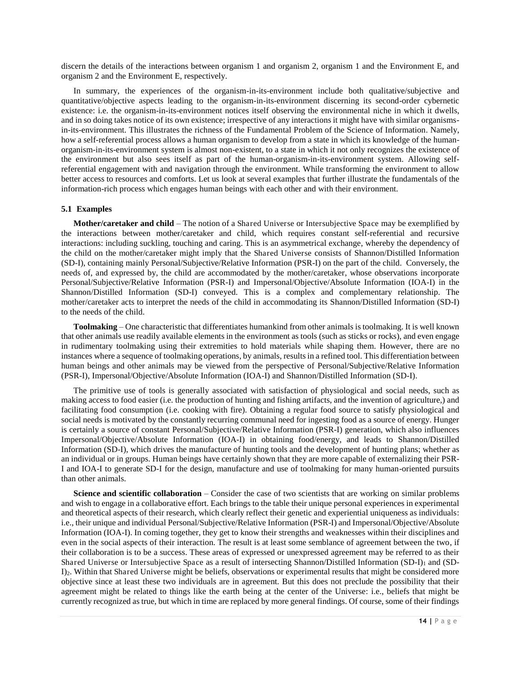discern the details of the interactions between organism 1 and organism 2, organism 1 and the Environment E, and organism 2 and the Environment E, respectively.

In summary, the experiences of the organism-in-its-environment include both qualitative/subjective and quantitative/objective aspects leading to the organism-in-its-environment discerning its second-order cybernetic existence: i.e. the organism-in-its-environment notices itself observing the environmental niche in which it dwells, and in so doing takes notice of its own existence; irrespective of any interactions it might have with similar organismsin-its-environment. This illustrates the richness of the Fundamental Problem of the Science of Information. Namely, how a self-referential process allows a human organism to develop from a state in which its knowledge of the humanorganism-in-its-environment system is almost non-existent, to a state in which it not only recognizes the existence of the environment but also sees itself as part of the human-organism-in-its-environment system. Allowing selfreferential engagement with and navigation through the environment. While transforming the environment to allow better access to resources and comforts. Let us look at several examples that further illustrate the fundamentals of the information-rich process which engages human beings with each other and with their environment.

#### **5.1 Examples**

**Mother/caretaker and child** – The notion of a Shared Universe or Intersubjective Space may be exemplified by the interactions between mother/caretaker and child, which requires constant self-referential and recursive interactions: including suckling, touching and caring. This is an asymmetrical exchange, whereby the dependency of the child on the mother/caretaker might imply that the Shared Universe consists of Shannon/Distilled Information (SD-I), containing mainly Personal/Subjective/Relative Information (PSR-I) on the part of the child. Conversely, the needs of, and expressed by, the child are accommodated by the mother/caretaker, whose observations incorporate Personal/Subjective/Relative Information (PSR-I) and Impersonal/Objective/Absolute Information (IOA-I) in the Shannon/Distilled Information (SD-I) conveyed. This is a complex and complementary relationship. The mother/caretaker acts to interpret the needs of the child in accommodating its Shannon/Distilled Information (SD-I) to the needs of the child.

**Toolmaking** – One characteristic that differentiates humankind from other animals is toolmaking. It is well known that other animals use readily available elements in the environment as tools (such as sticks or rocks), and even engage in rudimentary toolmaking using their extremities to hold materials while shaping them. However, there are no instances where a sequence of toolmaking operations, by animals, results in a refined tool. This differentiation between human beings and other animals may be viewed from the perspective of Personal/Subjective/Relative Information (PSR-I), Impersonal/Objective/Absolute Information (IOA-I) and Shannon/Distilled Information (SD-I).

The primitive use of tools is generally associated with satisfaction of physiological and social needs, such as making access to food easier (i.e. the production of hunting and fishing artifacts, and the invention of agriculture,) and facilitating food consumption (i.e. cooking with fire). Obtaining a regular food source to satisfy physiological and social needs is motivated by the constantly recurring communal need for ingesting food as a source of energy. Hunger is certainly a source of constant Personal/Subjective/Relative Information (PSR-I) generation, which also influences Impersonal/Objective/Absolute Information (IOA-I) in obtaining food/energy, and leads to Shannon/Distilled Information (SD-I), which drives the manufacture of hunting tools and the development of hunting plans; whether as an individual or in groups. Human beings have certainly shown that they are more capable of externalizing their PSR-I and IOA-I to generate SD-I for the design, manufacture and use of toolmaking for many human-oriented pursuits than other animals.

**Science and scientific collaboration** – Consider the case of two scientists that are working on similar problems and wish to engage in a collaborative effort. Each brings to the table their unique personal experiences in experimental and theoretical aspects of their research, which clearly reflect their genetic and experiential uniqueness as individuals: i.e., their unique and individual Personal/Subjective/Relative Information (PSR-I) and Impersonal/Objective/Absolute Information (IOA-I). In coming together, they get to know their strengths and weaknesses within their disciplines and even in the social aspects of their interaction. The result is at least some semblance of agreement between the two, if their collaboration is to be a success. These areas of expressed or unexpressed agreement may be referred to as their Shared Universe or Intersubjective Space as a result of intersecting Shannon/Distilled Information (SD-I)<sub>1</sub> and (SD-I)<sub>2</sub>. Within that Shared Universe might be beliefs, observations or experimental results that might be considered more objective since at least these two individuals are in agreement. But this does not preclude the possibility that their agreement might be related to things like the earth being at the center of the Universe: i.e., beliefs that might be currently recognized as true, but which in time are replaced by more general findings. Of course, some of their findings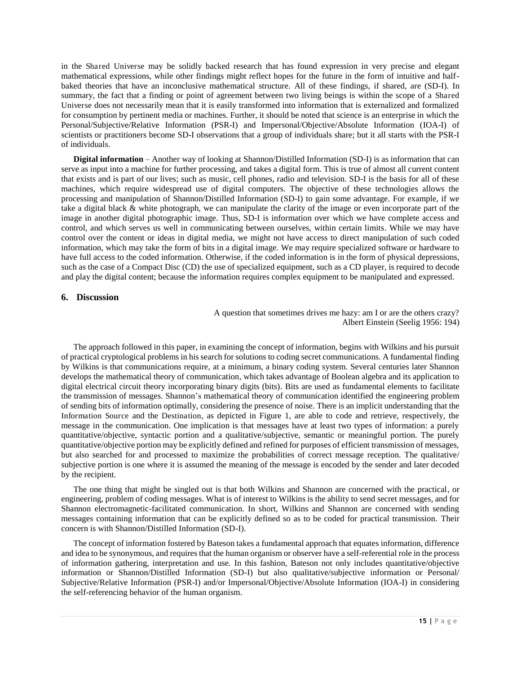in the Shared Universe may be solidly backed research that has found expression in very precise and elegant mathematical expressions, while other findings might reflect hopes for the future in the form of intuitive and halfbaked theories that have an inconclusive mathematical structure. All of these findings, if shared, are (SD-I). In summary, the fact that a finding or point of agreement between two living beings is within the scope of a Shared Universe does not necessarily mean that it is easily transformed into information that is externalized and formalized for consumption by pertinent media or machines. Further, it should be noted that science is an enterprise in which the Personal/Subjective/Relative Information (PSR-I) and Impersonal/Objective/Absolute Information (IOA-I) of scientists or practitioners become SD-I observations that a group of individuals share; but it all starts with the PSR-I of individuals.

**Digital information** – Another way of looking at Shannon/Distilled Information (SD-I) is as information that can serve as input into a machine for further processing, and takes a digital form. This is true of almost all current content that exists and is part of our lives; such as music, cell phones, radio and television. SD-I is the basis for all of these machines, which require widespread use of digital computers. The objective of these technologies allows the processing and manipulation of Shannon/Distilled Information (SD-I) to gain some advantage. For example, if we take a digital black  $\&$  white photograph, we can manipulate the clarity of the image or even incorporate part of the image in another digital photographic image. Thus, SD-I is information over which we have complete access and control, and which serves us well in communicating between ourselves, within certain limits. While we may have control over the content or ideas in digital media, we might not have access to direct manipulation of such coded information, which may take the form of bits in a digital image. We may require specialized software or hardware to have full access to the coded information. Otherwise, if the coded information is in the form of physical depressions, such as the case of a Compact Disc (CD) the use of specialized equipment, such as a CD player, is required to decode and play the digital content; because the information requires complex equipment to be manipulated and expressed.

#### **6. Discussion**

A question that sometimes drives me hazy: am I or are the others crazy? Albert Einstein (Seelig 1956: 194)

The approach followed in this paper, in examining the concept of information, begins with Wilkins and his pursuit of practical cryptological problems in his search for solutions to coding secret communications. A fundamental finding by Wilkins is that communications require, at a minimum, a binary coding system. Several centuries later Shannon develops the mathematical theory of communication, which takes advantage of Boolean algebra and its application to digital electrical circuit theory incorporating binary digits (bits). Bits are used as fundamental elements to facilitate the transmission of messages. Shannon's mathematical theory of communication identified the engineering problem of sending bits of information optimally, considering the presence of noise. There is an implicit understanding that the Information Source and the Destination, as depicted in Figure 1, are able to code and retrieve, respectively, the message in the communication. One implication is that messages have at least two types of information: a purely quantitative/objective, syntactic portion and a qualitative/subjective, semantic or meaningful portion. The purely quantitative/objective portion may be explicitly defined and refined for purposes of efficient transmission of messages, but also searched for and processed to maximize the probabilities of correct message reception. The qualitative/ subjective portion is one where it is assumed the meaning of the message is encoded by the sender and later decoded by the recipient.

The one thing that might be singled out is that both Wilkins and Shannon are concerned with the practical, or engineering, problem of coding messages. What is of interest to Wilkins is the ability to send secret messages, and for Shannon electromagnetic-facilitated communication. In short, Wilkins and Shannon are concerned with sending messages containing information that can be explicitly defined so as to be coded for practical transmission. Their concern is with Shannon/Distilled Information (SD-I).

The concept of information fostered by Bateson takes a fundamental approach that equates information, difference and idea to be synonymous, and requires that the human organism or observer have a self-referential role in the process of information gathering, interpretation and use. In this fashion, Bateson not only includes quantitative/objective information or Shannon/Distilled Information (SD-I) but also qualitative/subjective information or Personal/ Subjective/Relative Information (PSR-I) and/or Impersonal/Objective/Absolute Information (IOA-I) in considering the self-referencing behavior of the human organism.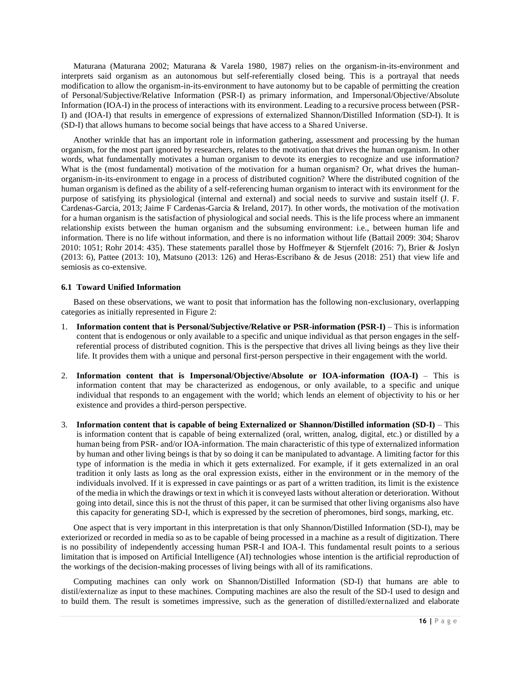Maturana (Maturana 2002; Maturana & Varela 1980, 1987) relies on the organism-in-its-environment and interprets said organism as an autonomous but self-referentially closed being. This is a portrayal that needs modification to allow the organism-in-its-environment to have autonomy but to be capable of permitting the creation of Personal/Subjective/Relative Information (PSR-I) as primary information, and Impersonal/Objective/Absolute Information (IOA-I) in the process of interactions with its environment. Leading to a recursive process between (PSR-I) and (IOA-I) that results in emergence of expressions of externalized Shannon/Distilled Information (SD-I). It is (SD-I) that allows humans to become social beings that have access to a Shared Universe.

Another wrinkle that has an important role in information gathering, assessment and processing by the human organism, for the most part ignored by researchers, relates to the motivation that drives the human organism. In other words, what fundamentally motivates a human organism to devote its energies to recognize and use information? What is the (most fundamental) motivation of the motivation for a human organism? Or, what drives the humanorganism-in-its-environment to engage in a process of distributed cognition? Where the distributed cognition of the human organism is defined as the ability of a self-referencing human organism to interact with its environment for the purpose of satisfying its physiological (internal and external) and social needs to survive and sustain itself (J. F. Cardenas-Garcia, 2013; Jaime F Cardenas-Garcia & Ireland, 2017). In other words, the motivation of the motivation for a human organism is the satisfaction of physiological and social needs. This is the life process where an immanent relationship exists between the human organism and the subsuming environment: i.e., between human life and information. There is no life without information, and there is no information without life (Battail 2009: 304; Sharov 2010: 1051; Rohr 2014: 435). These statements parallel those by Hoffmeyer & Stjernfelt (2016: 7), Brier & Joslyn (2013: 6), Pattee (2013: 10), Matsuno (2013: 126) and Heras-Escribano & de Jesus (2018: 251) that view life and semiosis as co-extensive.

#### **6.1 Toward Unified Information**

Based on these observations, we want to posit that information has the following non-exclusionary, overlapping categories as initially represented in Figure 2:

- 1. **Information content that is Personal/Subjective/Relative or PSR-information (PSR-I)** This is information content that is endogenous or only available to a specific and unique individual as that person engages in the selfreferential process of distributed cognition. This is the perspective that drives all living beings as they live their life. It provides them with a unique and personal first-person perspective in their engagement with the world.
- 2. **Information content that is Impersonal/Objective/Absolute or IOA-information (IOA-I)** This is information content that may be characterized as endogenous, or only available, to a specific and unique individual that responds to an engagement with the world; which lends an element of objectivity to his or her existence and provides a third-person perspective.
- 3. **Information content that is capable of being Externalized or Shannon/Distilled information (SD-I)** This is information content that is capable of being externalized (oral, written, analog, digital, etc.) or distilled by a human being from PSR- and/or IOA-information. The main characteristic of this type of externalized information by human and other living beings is that by so doing it can be manipulated to advantage. A limiting factor for this type of information is the media in which it gets externalized. For example, if it gets externalized in an oral tradition it only lasts as long as the oral expression exists, either in the environment or in the memory of the individuals involved. If it is expressed in cave paintings or as part of a written tradition, its limit is the existence of the media in which the drawings or text in which it is conveyed lasts without alteration or deterioration. Without going into detail, since this is not the thrust of this paper, it can be surmised that other living organisms also have this capacity for generating SD-I, which is expressed by the secretion of pheromones, bird songs, marking, etc.

One aspect that is very important in this interpretation is that only Shannon/Distilled Information (SD-I), may be exteriorized or recorded in media so as to be capable of being processed in a machine as a result of digitization. There is no possibility of independently accessing human PSR-I and IOA-I. This fundamental result points to a serious limitation that is imposed on Artificial Intelligence (AI) technologies whose intention is the artificial reproduction of the workings of the decision-making processes of living beings with all of its ramifications.

Computing machines can only work on Shannon/Distilled Information (SD-I) that humans are able to distil/externalize as input to these machines. Computing machines are also the result of the SD-I used to design and to build them. The result is sometimes impressive, such as the generation of distilled/externalized and elaborate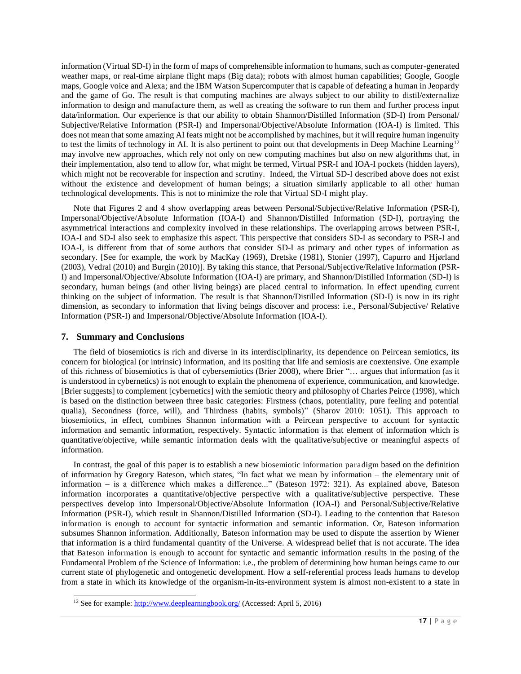information (Virtual SD-I) in the form of maps of comprehensible information to humans, such as computer-generated weather maps, or real-time airplane flight maps (Big data); robots with almost human capabilities; Google, Google maps, Google voice and Alexa; and the IBM Watson Supercomputer that is capable of defeating a human in Jeopardy and the game of Go. The result is that computing machines are always subject to our ability to distil/externalize information to design and manufacture them, as well as creating the software to run them and further process input data/information. Our experience is that our ability to obtain Shannon/Distilled Information (SD-I) from Personal/ Subjective/Relative Information (PSR-I) and Impersonal/Objective/Absolute Information (IOA-I) is limited. This does not mean that some amazing AI feats might not be accomplished by machines, but it will require human ingenuity to test the limits of technology in AI. It is also pertinent to point out that developments in Deep Machine Learning<sup>12</sup> may involve new approaches, which rely not only on new computing machines but also on new algorithms that, in their implementation, also tend to allow for, what might be termed, Virtual PSR-I and IOA-I pockets (hidden layers), which might not be recoverable for inspection and scrutiny. Indeed, the Virtual SD-I described above does not exist without the existence and development of human beings; a situation similarly applicable to all other human technological developments. This is not to minimize the role that Virtual SD-I might play.

Note that Figures 2 and 4 show overlapping areas between Personal/Subjective/Relative Information (PSR-I), Impersonal/Objective/Absolute Information (IOA-I) and Shannon/Distilled Information (SD-I), portraying the asymmetrical interactions and complexity involved in these relationships. The overlapping arrows between PSR-I, IOA-I and SD-I also seek to emphasize this aspect. This perspective that considers SD-I as secondary to PSR-I and IOA-I, is different from that of some authors that consider SD-I as primary and other types of information as secondary. [See for example, the work by MacKay (1969), Dretske (1981), Stonier (1997), Capurro and Hjørland (2003), Vedral (2010) and Burgin (2010)]. By taking this stance, that Personal/Subjective/Relative Information (PSR-I) and Impersonal/Objective/Absolute Information (IOA-I) are primary, and Shannon/Distilled Information (SD-I) is secondary, human beings (and other living beings) are placed central to information. In effect upending current thinking on the subject of information. The result is that Shannon/Distilled Information (SD-I) is now in its right dimension, as secondary to information that living beings discover and process: i.e., Personal/Subjective/ Relative Information (PSR-I) and Impersonal/Objective/Absolute Information (IOA-I).

#### **7. Summary and Conclusions**

-

The field of biosemiotics is rich and diverse in its interdisciplinarity, its dependence on Peircean semiotics, its concern for biological (or intrinsic) information, and its positing that life and semiosis are coextensive. One example of this richness of biosemiotics is that of cybersemiotics (Brier 2008), where Brier "… argues that information (as it is understood in cybernetics) is not enough to explain the phenomena of experience, communication, and knowledge. [Brier suggests] to complement [cybernetics] with the semiotic theory and philosophy of Charles Peirce (1998), which is based on the distinction between three basic categories: Firstness (chaos, potentiality, pure feeling and potential qualia), Secondness (force, will), and Thirdness (habits, symbols)" (Sharov 2010: 1051). This approach to biosemiotics, in effect, combines Shannon information with a Peircean perspective to account for syntactic information and semantic information, respectively. Syntactic information is that element of information which is quantitative/objective, while semantic information deals with the qualitative/subjective or meaningful aspects of information.

In contrast, the goal of this paper is to establish a new biosemiotic information paradigm based on the definition of information by Gregory Bateson, which states, "In fact what we mean by information – the elementary unit of information – is a difference which makes a difference..." (Bateson 1972: 321). As explained above, Bateson information incorporates a quantitative/objective perspective with a qualitative/subjective perspective. These perspectives develop into Impersonal/Objective/Absolute Information (IOA-I) and Personal/Subjective/Relative Information (PSR-I), which result in Shannon/Distilled Information (SD-I). Leading to the contention that Bateson information is enough to account for syntactic information and semantic information. Or, Bateson information subsumes Shannon information. Additionally, Bateson information may be used to dispute the assertion by Wiener that information is a third fundamental quantity of the Universe. A widespread belief that is not accurate. The idea that Bateson information is enough to account for syntactic and semantic information results in the posing of the Fundamental Problem of the Science of Information: i.e., the problem of determining how human beings came to our current state of phylogenetic and ontogenetic development. How a self-referential process leads humans to develop from a state in which its knowledge of the organism-in-its-environment system is almost non-existent to a state in

<sup>12</sup> See for example: [http://www.deeplearningbook.org/ \(](http://www.deeplearningbook.org/)Accessed: April 5, 2016)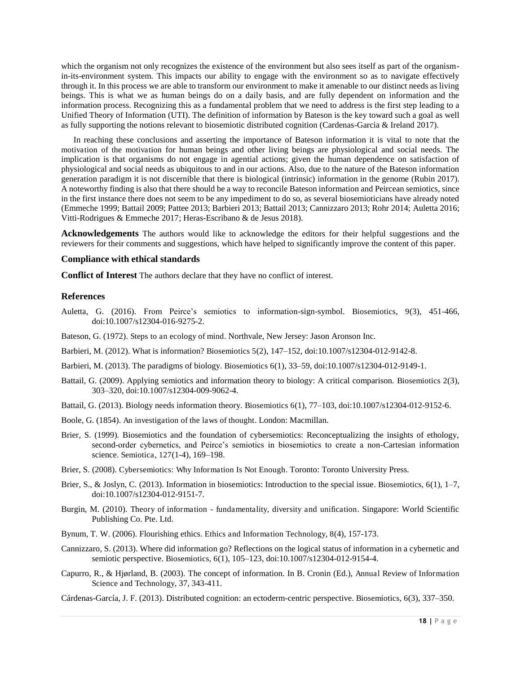which the organism not only recognizes the existence of the environment but also sees itself as part of the organismin-its-environment system. This impacts our ability to engage with the environment so as to navigate effectively through it. In this process we are able to transform our environment to make it amenable to our distinct needs as living beings. This is what we as human beings do on a daily basis, and are fully dependent on information and the information process. Recognizing this as a fundamental problem that we need to address is the first step leading to a Unified Theory of Information (UTI). The definition of information by Bateson is the key toward such a goal as well as fully supporting the notions relevant to biosemiotic distributed cognition (Cardenas-Garcia & Ireland 2017).

In reaching these conclusions and asserting the importance of Bateson information it is vital to note that the motivation of the motivation for human beings and other living beings are physiological and social needs. The implication is that organisms do not engage in agential actions; given the human dependence on satisfaction of physiological and social needs as ubiquitous to and in our actions. Also, due to the nature of the Bateson information generation paradigm it is not discernible that there is biological (intrinsic) information in the genome (Rubin 2017). A noteworthy finding is also that there should be a way to reconcile Bateson information and Peircean semiotics, since in the first instance there does not seem to be any impediment to do so, as several biosemioticians have already noted (Emmeche 1999; Battail 2009; Pattee 2013; Barbieri 2013; Battail 2013; Cannizzaro 2013; Rohr 2014; Auletta 2016; Vitti-Rodrigues & Emmeche 2017; Heras-Escribano & de Jesus 2018).

**Acknowledgements** The authors would like to acknowledge the editors for their helpful suggestions and the reviewers for their comments and suggestions, which have helped to significantly improve the content of this paper.

#### **Compliance with ethical standards**

**Conflict of Interest** The authors declare that they have no conflict of interest.

#### **References**

- Auletta, G. (2016). From Peirce's semiotics to information-sign-symbol. Biosemiotics, 9(3), 451-466, doi:10.1007/s12304-016-9275-2.
- Bateson, G. (1972). Steps to an ecology of mind. Northvale, New Jersey: Jason Aronson Inc.
- Barbieri, M. (2012). What is information? Biosemiotics 5(2), 147–152, doi:10.1007/s12304-012-9142-8.
- Barbieri, M. (2013). The paradigms of biology. Biosemiotics 6(1), 33–59, doi:10.1007/s12304-012-9149-1.
- Battail, G. (2009). Applying semiotics and information theory to biology: A critical comparison. Biosemiotics 2(3), 303–320, doi:10.1007/s12304-009-9062-4.
- Battail, G. (2013). Biology needs information theory. Biosemiotics 6(1), 77–103, doi:10.1007/s12304-012-9152-6.
- Boole, G. (1854). An investigation of the laws of thought. London: Macmillan.
- Brier, S. (1999). Biosemiotics and the foundation of cybersemiotics: Reconceptualizing the insights of ethology, second-order cybernetics, and Peirce's semiotics in biosemiotics to create a non-Cartesian information science. Semiotica, 127(1-4), 169–198.
- Brier, S. (2008). Cybersemiotics: Why Information Is Not Enough. Toronto: Toronto University Press.
- Brier, S., & Joslyn, C. (2013). Information in biosemiotics: Introduction to the special issue. Biosemiotics, 6(1), 1–7, doi:10.1007/s12304-012-9151-7.
- Burgin, M. (2010). Theory of information fundamentality, diversity and unification. Singapore: World Scientific Publishing Co. Pte. Ltd.
- Bynum, T. W. (2006). Flourishing ethics. Ethics and Information Technology, 8(4), 157-173.
- Cannizzaro, S. (2013). Where did information go? Reflections on the logical status of information in a cybernetic and semiotic perspective. Biosemiotics, 6(1), 105–123, doi:10.1007/s12304-012-9154-4.
- Capurro, R., & Hjørland, B. (2003). The concept of information. In B. Cronin (Ed.), Annual Review of Information Science and Technology, 37, 343-411.

Cárdenas-García, J. F. (2013). Distributed cognition: an ectoderm-centric perspective. Biosemiotics, 6(3), 337–350.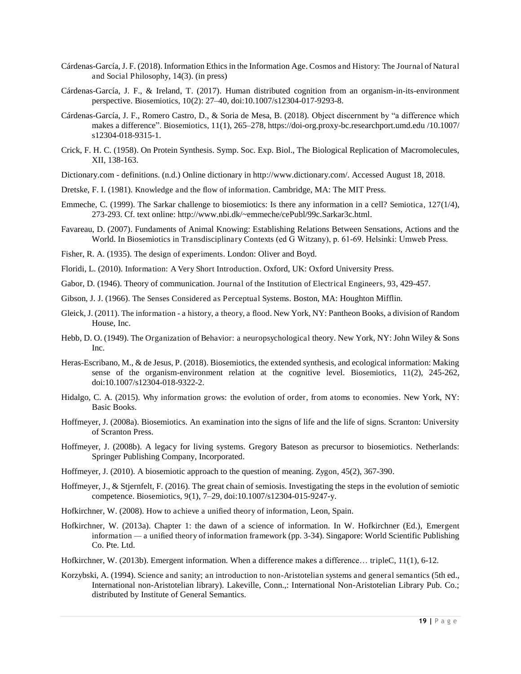- Cárdenas-García, J. F. (2018). Information Ethics in the Information Age. Cosmos and History: The Journal of Natural and Social Philosophy, 14(3). (in press)
- Cárdenas-García, J. F., & Ireland, T. (2017). Human distributed cognition from an organism-in-its-environment perspective. Biosemiotics, 10(2): 27–40, doi:10.1007/s12304-017-9293-8.
- Cárdenas-García, J. F., Romero Castro, D., & Soria de Mesa, B. (2018). Object discernment by "a difference which makes a difference". Biosemiotics, 11(1), 265–278, https://doi-org.proxy-bc.researchport.umd.edu /10.1007/ s12304-018-9315-1.
- Crick, F. H. C. (1958). On Protein Synthesis. Symp. Soc. Exp. Biol., The Biological Replication of Macromolecules, XII, 138-163.
- Dictionary.com definitions. (n.d.) Online dictionary in http://www.dictionary.com/. Accessed August 18, 2018.
- Dretske, F. I. (1981). Knowledge and the flow of information. Cambridge, MA: The MIT Press.
- Emmeche, C. (1999). The Sarkar challenge to biosemiotics: Is there any information in a cell? Semiotica, 127(1/4), 273-293. Cf. text online: http://www.nbi.dk/~emmeche/cePubl/99c.Sarkar3c.html.
- [Favareau, D. \(2007\). Fundaments of Animal Knowing: Establishing Relations Between Sensations, Actions and the](http://paperpile.com/b/56S8it/MyUt)  [World. In](http://paperpile.com/b/56S8it/MyUt) [Biosemiotics in Transdisciplinary Contexts](http://paperpile.com/b/56S8it/MyUt) [\(ed G Witzany\), p. 61‐69. Helsinki: Umweb Press.](http://paperpile.com/b/56S8it/MyUt)
- Fisher, R. A. (1935). The design of experiments. London: Oliver and Boyd.
- Floridi, L. (2010). Information: A Very Short Introduction. Oxford, UK: Oxford University Press.
- Gabor, D. (1946). Theory of communication. Journal of the Institution of Electrical Engineers, 93, 429-457.
- Gibson, J. J. (1966). The Senses Considered as Perceptual Systems. Boston, MA: Houghton Mifflin.
- Gleick, J. (2011). The information a history, a theory, a flood. New York, NY: Pantheon Books, a division of Random House, Inc.
- Hebb, D. O. (1949). The Organization of Behavior: a neuropsychological theory. New York, NY: John Wiley & Sons Inc.
- Heras-Escribano, M., & de Jesus, P. (2018). Biosemiotics, the extended synthesis, and ecological information: Making sense of the organism-environment relation at the cognitive level. Biosemiotics, 11(2), 245-262, doi:10.1007/s12304-018-9322-2.
- Hidalgo, C. A. (2015). Why information grows: the evolution of order, from atoms to economies. New York, NY: Basic Books.
- Hoffmeyer, J. (2008a). Biosemiotics. An examination into the signs of life and the life of signs. Scranton: University of Scranton Press.
- Hoffmeyer, J. (2008b). A legacy for living systems. Gregory Bateson as precursor to biosemiotics. Netherlands: Springer Publishing Company, Incorporated.
- Hoffmeyer, J. (2010). A biosemiotic approach to the question of meaning. Zygon, 45(2), 367-390.
- Hoffmeyer, J., & Stjernfelt, F. (2016). The great chain of semiosis. Investigating the steps in the evolution of semiotic competence. Biosemiotics, 9(1), 7–29, doi:10.1007/s12304-015-9247-y.
- Hofkirchner, W. (2008). How to achieve a unified theory of information, Leon, Spain.
- Hofkirchner, W. (2013a). Chapter 1: the dawn of a science of information. In W. Hofkirchner (Ed.), Emergent information *—* a unified theory of information framework (pp. 3-34). Singapore: World Scientific Publishing Co. Pte. Ltd.
- Hofkirchner, W. (2013b). Emergent information. When a difference makes a difference… tripleC, 11(1), 6-12.
- Korzybski, A. (1994). Science and sanity; an introduction to non-Aristotelian systems and general semantics (5th ed., International non-Aristotelian library). Lakeville, Conn.,: International Non-Aristotelian Library Pub. Co.; distributed by Institute of General Semantics.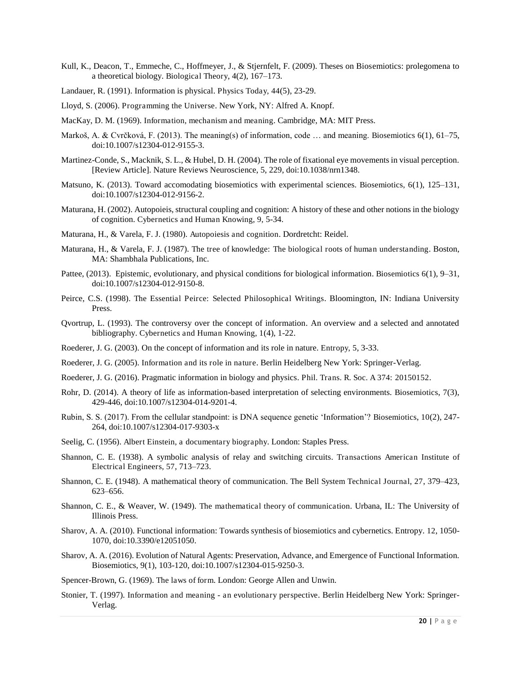- Kull, K., Deacon, T., Emmeche, C., Hoffmeyer, J., & Stjernfelt, F. (2009). Theses on Biosemiotics: prolegomena to a theoretical biology. Biological Theory, 4(2), 167–173.
- Landauer, R. (1991). Information is physical. Physics Today, 44(5), 23-29.
- Lloyd, S. (2006). Programming the Universe. New York, NY: Alfred A. Knopf.
- MacKay, D. M. (1969). Information, mechanism and meaning. Cambridge, MA: MIT Press.
- Markoš, A. & Cvrčková, F. (2013). The meaning(s) of information, code … and meaning. Biosemiotics 6(1), 61–75, doi:10.1007/s12304-012-9155-3.
- Martinez-Conde, S., Macknik, S. L., & Hubel, D. H. (2004). The role of fixational eye movements in visual perception. [Review Article]. Nature Reviews Neuroscience, 5, 229, doi:10.1038/nrn1348.
- Matsuno, K. (2013). Toward accomodating biosemiotics with experimental sciences. Biosemiotics, 6(1), 125–131, doi:10.1007/s12304-012-9156-2.
- Maturana, H. (2002). Autopoieis, structural coupling and cognition: A history of these and other notions in the biology of cognition. Cybernetics and Human Knowing, 9, 5-34.
- Maturana, H., & Varela, F. J. (1980). Autopoiesis and cognition. Dordretcht: Reidel.
- Maturana, H., & Varela, F. J. (1987). The tree of knowledge: The biological roots of human understanding. Boston, MA: Shambhala Publications, Inc.
- Pattee, (2013). Epistemic, evolutionary, and physical conditions for biological information. Biosemiotics 6(1), 9–31, doi:10.1007/s12304-012-9150-8.
- Peirce, C.S. (1998). The Essential Peirce: Selected Philosophical Writings. Bloomington, IN: Indiana University Press.
- Qvortrup, L. (1993). The controversy over the concept of information. An overview and a selected and annotated bibliography. Cybernetics and Human Knowing, 1(4), 1-22.
- Roederer, J. G. (2003). On the concept of information and its role in nature. Entropy, 5, 3-33.
- Roederer, J. G. (2005). Information and its role in nature. Berlin Heidelberg New York: Springer-Verlag.
- Roederer, J. G. (2016). Pragmatic information in biology and physics. Phil. Trans. R. Soc. A 374: 20150152.
- Rohr, D. (2014). A theory of life as information-based interpretation of selecting environments. Biosemiotics, 7(3), 429-446, doi:10.1007/s12304-014-9201-4.
- Rubin, S. S. (2017). From the cellular standpoint: is DNA sequence genetic 'Information'? Biosemiotics, 10(2), 247- 264, doi:10.1007/s12304-017-9303-x
- Seelig, C. (1956). Albert Einstein, a documentary biography. London: Staples Press.
- Shannon, C. E. (1938). A symbolic analysis of relay and switching circuits. Transactions American Institute of Electrical Engineers, 57, 713–723.
- Shannon, C. E. (1948). A mathematical theory of communication. The Bell System Technical Journal, 27, 379–423, 623–656.
- Shannon, C. E., & Weaver, W. (1949). The mathematical theory of communication. Urbana, IL: The University of Illinois Press.
- Sharov, A. A. (2010). Functional information: Towards synthesis of biosemiotics and cybernetics. Entropy. 12, 1050- 1070, doi:10.3390/e12051050.
- Sharov, A. A. (2016). Evolution of Natural Agents: Preservation, Advance, and Emergence of Functional Information. Biosemiotics, 9(1), 103-120, doi:10.1007/s12304-015-9250-3.
- Spencer-Brown, G. (1969). The laws of form. London: George Allen and Unwin.
- Stonier, T. (1997). Information and meaning an evolutionary perspective. Berlin Heidelberg New York: Springer-Verlag.